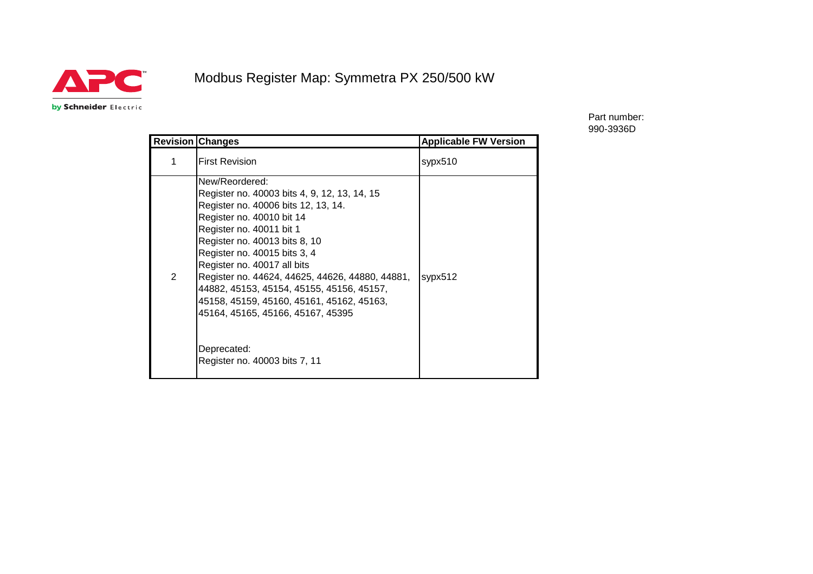

## Modbus Register Map: Symmetra PX 250/500 kW

by Schneider Electric

Part number: 990-3936D

|   | <b>Revision Changes</b>                                                                                                                                                                                                                                                                                                                                                                                                                                                                          | <b>Applicable FW Version</b> |
|---|--------------------------------------------------------------------------------------------------------------------------------------------------------------------------------------------------------------------------------------------------------------------------------------------------------------------------------------------------------------------------------------------------------------------------------------------------------------------------------------------------|------------------------------|
| 1 | <b>First Revision</b>                                                                                                                                                                                                                                                                                                                                                                                                                                                                            | sypx510                      |
| 2 | New/Reordered:<br>Register no. 40003 bits 4, 9, 12, 13, 14, 15<br>Register no. 40006 bits 12, 13, 14.<br>Register no. 40010 bit 14<br>Register no. 40011 bit 1<br>Register no. 40013 bits 8, 10<br>Register no. 40015 bits 3, 4<br>Register no. 40017 all bits<br>Register no. 44624, 44625, 44626, 44880, 44881,<br>44882, 45153, 45154, 45155, 45156, 45157,<br>45158, 45159, 45160, 45161, 45162, 45163,<br>45164, 45165, 45166, 45167, 45395<br>Deprecated:<br>Register no. 40003 bits 7, 11 | sypx512                      |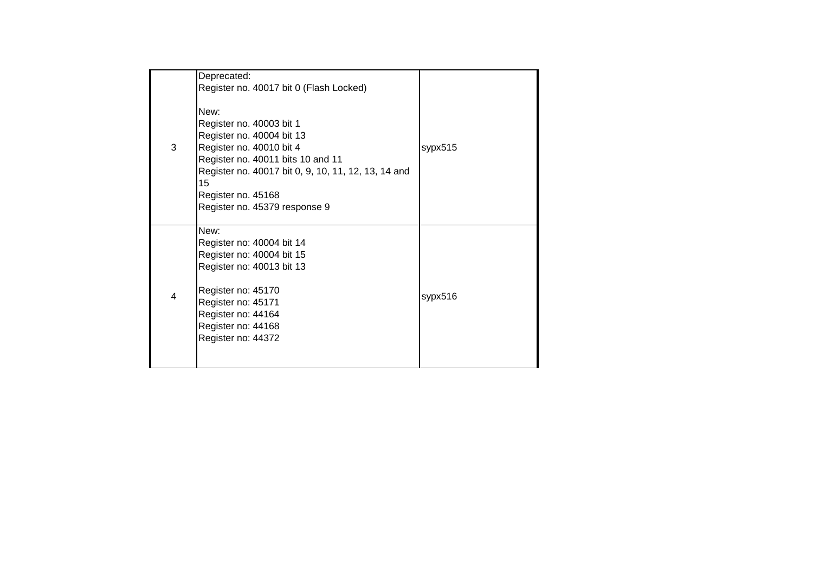|                | Deprecated:                                                                                                                                                                                                                                        |         |
|----------------|----------------------------------------------------------------------------------------------------------------------------------------------------------------------------------------------------------------------------------------------------|---------|
|                | Register no. 40017 bit 0 (Flash Locked)                                                                                                                                                                                                            |         |
| 3              | New:<br>Register no. 40003 bit 1<br>Register no. 40004 bit 13<br>Register no. 40010 bit 4<br>Register no. 40011 bits 10 and 11<br>Register no. 40017 bit 0, 9, 10, 11, 12, 13, 14 and<br>15<br>Register no. 45168<br>Register no. 45379 response 9 | sypx515 |
| $\overline{4}$ | New:<br>Register no: 40004 bit 14<br>Register no: 40004 bit 15<br>Register no: 40013 bit 13<br>Register no: 45170<br>Register no: 45171<br>Register no: 44164<br>Register no: 44168<br>Register no: 44372                                          | sypx516 |
|                |                                                                                                                                                                                                                                                    |         |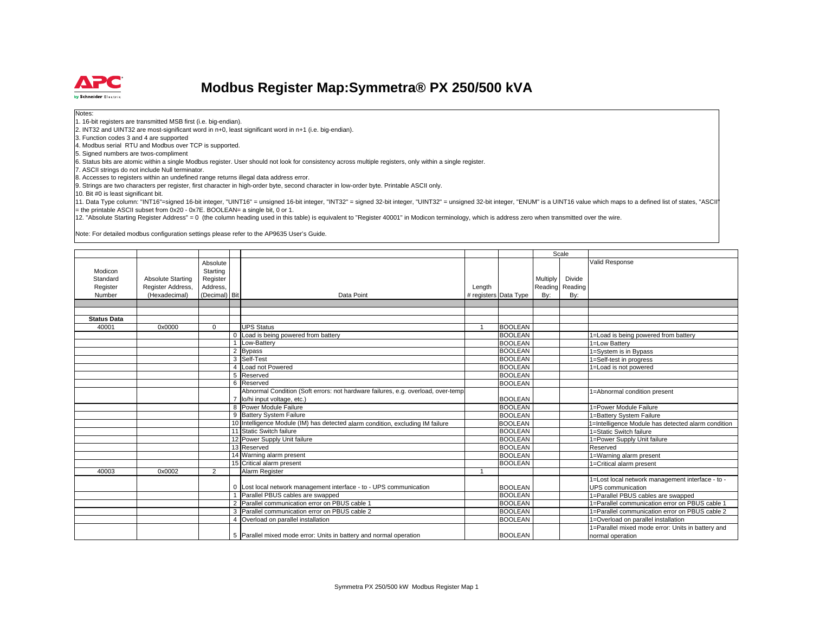

## **Modbus Register Map:Symmetra® PX 250/500 kVA**

Notes:

1. 16-bit registers are transmitted MSB first (i.e. big-endian).

2. INT32 and UINT32 are most-significant word in n+0, least significant word in n+1 (i.e. big-endian).

3. Function codes 3 and 4 are supported

4. Modbus serial RTU and Modbus over TCP is supported.

5. Signed numbers are twos-compliment

6. Status bits are atomic within a single Modbus register. User should not look for consistency across multiple registers, only within a single register.

7. ASCII strings do not include Null terminator.

8. Accesses to registers within an undefined range returns illegal data address error.

9. Strings are two characters per register, first character in high-order byte, second character in low-order byte. Printable ASCII only.

10. Bit #0 is least significant bit.

11. Data Type column: "INT16"=signed 16-bit integer, "UINT16" = unsigned 16-bit integer, "INT32" = signed 32-bit integer, "UINT32" = unsigned 32-bit integer, "ENUM" is a UINT16 value which maps to a defined list of states,  $=$  the printable ASCII subset from 0x20 - 0x7E. BOOLEAN= a single bit, 0 or 1.

12. "Absolute Starting Register Address" = 0 (the column heading used in this table) is equivalent to "Register 40001" in Modicon terminology, which is address zero when transmitted over the wire.

Note: For detailed modbus configuration settings please refer to the AP9635 User's Guide.

|                    |                   |                |   |                                                                                   |                       |                |                 | Scale           |                                                    |
|--------------------|-------------------|----------------|---|-----------------------------------------------------------------------------------|-----------------------|----------------|-----------------|-----------------|----------------------------------------------------|
|                    |                   |                |   |                                                                                   |                       |                |                 |                 | Valid Response                                     |
|                    |                   | Absolute       |   |                                                                                   |                       |                |                 |                 |                                                    |
| Modicon            |                   | Starting       |   |                                                                                   |                       |                |                 | Divide          |                                                    |
| Standard           | Absolute Starting | Register       |   |                                                                                   |                       |                | <b>Multiply</b> |                 |                                                    |
| Register           | Register Address, | Address,       |   |                                                                                   | Length                |                |                 | Reading Reading |                                                    |
| Number             | (Hexadecimal)     | (Decimal) Bit  |   | Data Point                                                                        | # registers Data Type |                | By:             | By:             |                                                    |
|                    |                   |                |   |                                                                                   |                       |                |                 |                 |                                                    |
|                    |                   |                |   |                                                                                   |                       |                |                 |                 |                                                    |
| <b>Status Data</b> |                   |                |   |                                                                                   |                       |                |                 |                 |                                                    |
| 40001              | 0x0000            | $\Omega$       |   | <b>UPS Status</b>                                                                 |                       | <b>BOOLEAN</b> |                 |                 |                                                    |
|                    |                   |                |   | 0 Load is being powered from battery                                              |                       | <b>BOOLEAN</b> |                 |                 | 1=Load is being powered from battery               |
|                    |                   |                |   | Low-Battery                                                                       |                       | <b>BOOLEAN</b> |                 |                 | 1=Low Battery                                      |
|                    |                   |                |   | 2 Bypass                                                                          |                       | <b>BOOLEAN</b> |                 |                 | 1=System is in Bypass                              |
|                    |                   |                |   | 3 Self-Test                                                                       |                       | <b>BOOLEAN</b> |                 |                 | 1=Self-test in progress                            |
|                    |                   |                |   | Load not Powered                                                                  |                       | <b>BOOLEAN</b> |                 |                 | 1=Load is not powered                              |
|                    |                   |                |   | 5 Reserved                                                                        |                       | <b>BOOLEAN</b> |                 |                 |                                                    |
|                    |                   |                |   | 6 Reserved                                                                        |                       | <b>BOOLEAN</b> |                 |                 |                                                    |
|                    |                   |                |   | Abnormal Condition (Soft errors: not hardware failures, e.g. overload, over-temp. |                       |                |                 |                 | 1=Abnormal condition present                       |
|                    |                   |                |   | lo/hi input voltage, etc.)                                                        |                       | <b>BOOLEAN</b> |                 |                 |                                                    |
|                    |                   |                | 8 | Power Module Failure                                                              |                       | <b>BOOLEAN</b> |                 |                 | 1=Power Module Failure                             |
|                    |                   |                |   | 9 Battery System Failure                                                          |                       | <b>BOOLEAN</b> |                 |                 | 1=Battery System Failure                           |
|                    |                   |                |   | 10 Intelligence Module (IM) has detected alarm condition, excluding IM failure    |                       | <b>BOOLEAN</b> |                 |                 | 1=Intelligence Module has detected alarm condition |
|                    |                   |                |   | 11 Static Switch failure                                                          |                       | <b>BOOLEAN</b> |                 |                 | 1=Static Switch failure                            |
|                    |                   |                |   | 12 Power Supply Unit failure                                                      |                       | <b>BOOLEAN</b> |                 |                 | 1=Power Supply Unit failure                        |
|                    |                   |                |   | 13 Reserved                                                                       |                       | <b>BOOLEAN</b> |                 |                 | Reserved                                           |
|                    |                   |                |   | 14 Warning alarm present                                                          |                       | <b>BOOLEAN</b> |                 |                 | 1=Warning alarm present                            |
|                    |                   |                |   | 15 Critical alarm present                                                         |                       | <b>BOOLEAN</b> |                 |                 | 1=Critical alarm present                           |
| 40003              | 0x0002            | $\overline{2}$ |   | Alarm Register                                                                    |                       |                |                 |                 |                                                    |
|                    |                   |                |   |                                                                                   |                       |                |                 |                 | 1=Lost local network management interface - to -   |
|                    |                   |                |   | 0 Lost local network management interface - to - UPS communication                |                       | <b>BOOLEAN</b> |                 |                 | <b>UPS</b> communication                           |
|                    |                   |                |   | Parallel PBUS cables are swapped                                                  |                       | <b>BOOLEAN</b> |                 |                 | 1=Parallel PBUS cables are swapped                 |
|                    |                   |                |   | 2 Parallel communication error on PBUS cable 1                                    |                       | <b>BOOLEAN</b> |                 |                 | 1=Parallel communication error on PBUS cable 1     |
|                    |                   |                |   | 3 Parallel communication error on PBUS cable 2                                    |                       | <b>BOOLEAN</b> |                 |                 | 1=Parallel communication error on PBUS cable 2     |
|                    |                   |                |   | 4 Overload on parallel installation                                               |                       | <b>BOOLEAN</b> |                 |                 | 1=Overload on parallel installation                |
|                    |                   |                |   |                                                                                   |                       |                |                 |                 | 1=Parallel mixed mode error: Units in battery and  |
|                    |                   |                |   | 5 Parallel mixed mode error: Units in battery and normal operation                |                       | <b>BOOLEAN</b> |                 |                 | normal operation                                   |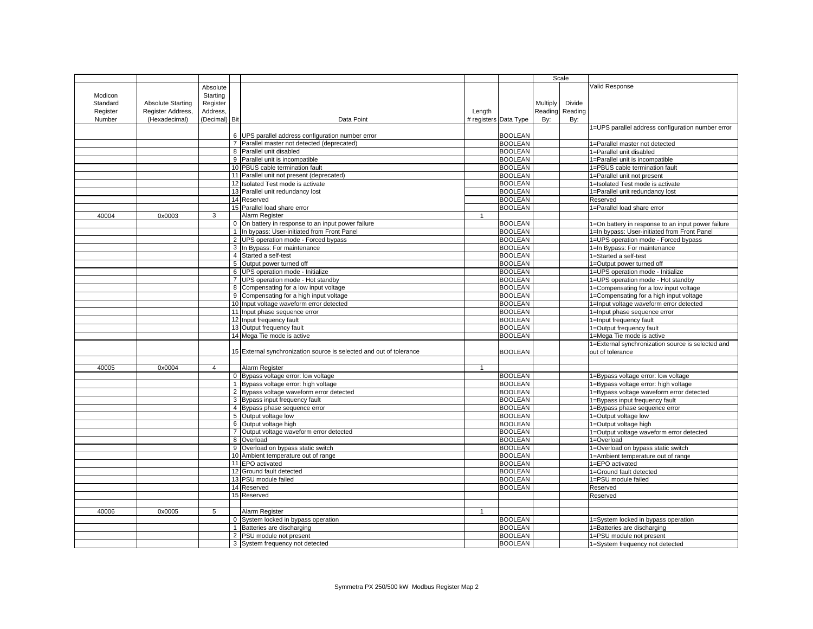|          |                          |                |                                                                     |                |                       | Scale    |                 |                                                    |
|----------|--------------------------|----------------|---------------------------------------------------------------------|----------------|-----------------------|----------|-----------------|----------------------------------------------------|
|          |                          | Absolute       |                                                                     |                |                       |          |                 | Valid Response                                     |
|          |                          |                |                                                                     |                |                       |          |                 |                                                    |
| Modicon  |                          | Starting       |                                                                     |                |                       |          |                 |                                                    |
| Standard | <b>Absolute Starting</b> | Register       |                                                                     |                |                       | Multiply | Divide          |                                                    |
| Register | Register Address,        | Address,       |                                                                     | Length         |                       |          | Reading Reading |                                                    |
| Number   | (Hexadecimal)            | (Decimal) Bit  | Data Point                                                          |                | # registers Data Type | By:      | By:             |                                                    |
|          |                          |                |                                                                     |                |                       |          |                 | 1=UPS parallel address configuration number error  |
|          |                          |                | 6 UPS parallel address configuration number error                   |                | <b>BOOLEAN</b>        |          |                 |                                                    |
|          |                          |                | Parallel master not detected (deprecated)                           |                | <b>BOOLEAN</b>        |          |                 | 1=Parallel master not detected                     |
|          |                          |                | 8 Parallel unit disabled                                            |                | <b>BOOLEAN</b>        |          |                 | 1=Parallel unit disabled                           |
|          |                          |                | 9 Parallel unit is incompatible                                     |                | <b>BOOLEAN</b>        |          |                 | 1=Parallel unit is incompatible                    |
|          |                          |                | 10 PBUS cable termination fault                                     |                | <b>BOOLEAN</b>        |          |                 | 1=PBUS cable termination fault                     |
|          |                          |                | 11 Parallel unit not present (deprecated)                           |                | <b>BOOLEAN</b>        |          |                 | 1=Parallel unit not present                        |
|          |                          |                | 12 Isolated Test mode is activate                                   |                | <b>BOOLEAN</b>        |          |                 | 1=Isolated Test mode is activate                   |
|          |                          |                | 13 Parallel unit redundancy lost                                    |                | <b>BOOLEAN</b>        |          |                 | 1=Parallel unit redundancy lost                    |
|          |                          |                | 14 Reserved                                                         |                | <b>BOOLEAN</b>        |          |                 | Reserved                                           |
|          |                          |                | 15 Parallel load share error                                        |                | <b>BOOLEAN</b>        |          |                 | 1=Parallel load share error                        |
| 40004    | 0x0003                   | 3              | Alarm Register                                                      | $\mathbf{1}$   |                       |          |                 |                                                    |
|          |                          |                |                                                                     |                | <b>BOOLEAN</b>        |          |                 |                                                    |
|          |                          |                | 0 On battery in response to an input power failure                  |                |                       |          |                 | 1=On battery in response to an input power failure |
|          |                          |                | 1 In bypass: User-initiated from Front Panel                        |                | <b>BOOLEAN</b>        |          |                 | 1=In bypass: User-initiated from Front Panel       |
|          |                          |                | 2 UPS operation mode - Forced bypass                                |                | <b>BOOLEAN</b>        |          |                 | 1=UPS operation mode - Forced bypass               |
|          |                          |                | 3 In Bypass: For maintenance                                        |                | <b>BOOLEAN</b>        |          |                 | 1=In Bypass: For maintenance                       |
|          |                          |                | 4 Started a self-test                                               |                | <b>BOOLEAN</b>        |          |                 | 1=Started a self-test                              |
|          |                          |                | 5 Output power turned off                                           |                | <b>BOOLEAN</b>        |          |                 | 1=Output power turned off                          |
|          |                          |                | 6 UPS operation mode - Initialize                                   |                | <b>BOOLEAN</b>        |          |                 | 1=UPS operation mode - Initialize                  |
|          |                          |                | 7 UPS operation mode - Hot standby                                  |                | <b>BOOLEAN</b>        |          |                 | 1=UPS operation mode - Hot standby                 |
|          |                          |                | 8 Compensating for a low input voltage                              |                | <b>BOOLEAN</b>        |          |                 | 1=Compensating for a low input voltage             |
|          |                          |                | 9 Compensating for a high input voltage                             |                | <b>BOOLEAN</b>        |          |                 | 1=Compensating for a high input voltage            |
|          |                          |                | 10 Input voltage waveform error detected                            |                | <b>BOOLEAN</b>        |          |                 | 1=Input voltage waveform error detected            |
|          |                          |                | 11 Input phase sequence error                                       |                | <b>BOOLEAN</b>        |          |                 | 1=Input phase sequence error                       |
|          |                          |                | 12 Input frequency fault                                            |                | <b>BOOLEAN</b>        |          |                 | 1=Input frequency fault                            |
|          |                          |                | 13 Output frequency fault                                           |                | <b>BOOLEAN</b>        |          |                 | 1=Output frequency fault                           |
|          |                          |                | 14 Mega Tie mode is active                                          |                | <b>BOOLEAN</b>        |          |                 | 1=Mega Tie mode is active                          |
|          |                          |                |                                                                     |                |                       |          |                 | 1=External synchronization source is selected and  |
|          |                          |                | 15 External synchronization source is selected and out of tolerance |                | <b>BOOLEAN</b>        |          |                 | out of tolerance                                   |
|          |                          |                |                                                                     |                |                       |          |                 |                                                    |
| 40005    | 0x0004                   | $\overline{4}$ | Alarm Register                                                      | $\mathbf{1}$   |                       |          |                 |                                                    |
|          |                          |                | 0 Bypass voltage error: low voltage                                 |                | <b>BOOLEAN</b>        |          |                 |                                                    |
|          |                          |                | 1 Bypass voltage error: high voltage                                |                | <b>BOOLEAN</b>        |          |                 | 1=Bypass voltage error: low voltage                |
|          |                          |                |                                                                     |                |                       |          |                 | 1=Bypass voltage error: high voltage               |
|          |                          |                | 2 Bypass voltage waveform error detected                            |                | <b>BOOLEAN</b>        |          |                 | 1=Bypass voltage waveform error detected           |
|          |                          |                | 3 Bypass input frequency fault                                      |                | <b>BOOLEAN</b>        |          |                 | 1=Bypass input frequency fault                     |
|          |                          |                | 4 Bypass phase sequence error                                       |                | <b>BOOLEAN</b>        |          |                 | 1=Bypass phase sequence error                      |
|          |                          |                | 5 Output voltage low                                                |                | <b>BOOLEAN</b>        |          |                 | 1=Output voltage low                               |
|          |                          |                | 6 Output voltage high                                               |                | <b>BOOLEAN</b>        |          |                 | 1=Output voltage high                              |
|          |                          |                | 7 Output voltage waveform error detected                            |                | <b>BOOLEAN</b>        |          |                 | 1=Output voltage waveform error detected           |
|          |                          |                | 8 Overload                                                          |                | <b>BOOLEAN</b>        |          |                 | 1=Overload                                         |
|          |                          |                | 9 Overload on bypass static switch                                  |                | <b>BOOLEAN</b>        |          |                 | 1=Overload on bypass static switch                 |
|          |                          |                | 10 Ambient temperature out of range                                 |                | <b>BOOLEAN</b>        |          |                 | 1=Ambient temperature out of range                 |
|          |                          |                | 11 EPO activated                                                    |                | <b>BOOLEAN</b>        |          |                 | 1=EPO activated                                    |
|          |                          |                | 12 Ground fault detected                                            |                | <b>BOOLEAN</b>        |          |                 | 1=Ground fault detected                            |
|          |                          |                | 13 PSU module failed                                                |                | <b>BOOLEAN</b>        |          |                 | 1=PSU module failed                                |
|          |                          |                | 14 Reserved                                                         |                | <b>BOOLEAN</b>        |          |                 | Reserved                                           |
|          |                          |                | 15 Reserved                                                         |                |                       |          |                 | Reserved                                           |
|          |                          |                |                                                                     |                |                       |          |                 |                                                    |
| 40006    | 0x0005                   | 5              | Alarm Register                                                      | $\overline{1}$ |                       |          |                 |                                                    |
|          |                          |                | 0 System locked in bypass operation                                 |                | <b>BOOLEAN</b>        |          |                 | 1=System locked in bypass operation                |
|          |                          |                | 1 Batteries are discharging                                         |                | <b>BOOLEAN</b>        |          |                 | 1=Batteries are discharging                        |
|          |                          |                | 2 PSU module not present                                            |                | <b>BOOLEAN</b>        |          |                 | 1=PSU module not present                           |
|          |                          |                | 3 System frequency not detected                                     |                | <b>BOOLEAN</b>        |          |                 | 1=System frequency not detected                    |
|          |                          |                |                                                                     |                |                       |          |                 |                                                    |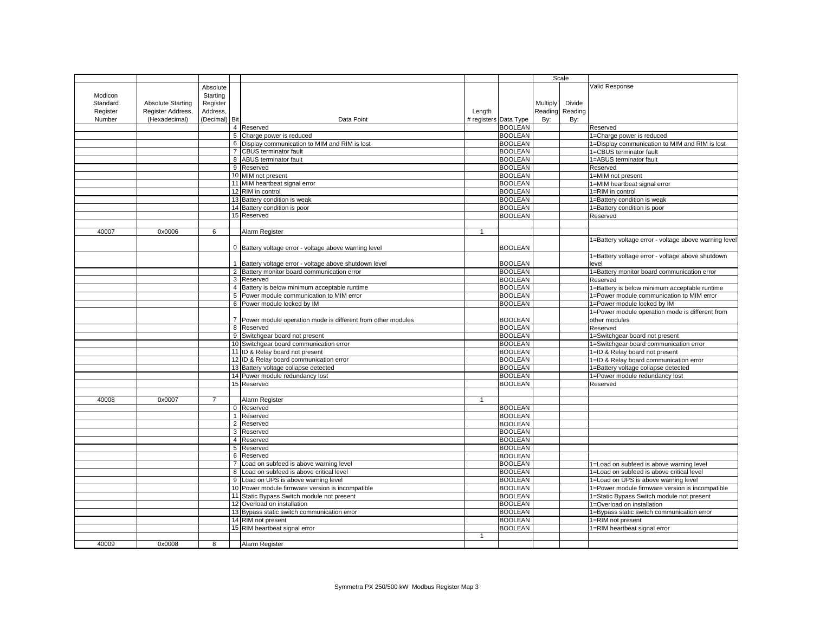|          |                          |               |                |                                                             |              |                       |          | Scale           |                                                       |
|----------|--------------------------|---------------|----------------|-------------------------------------------------------------|--------------|-----------------------|----------|-----------------|-------------------------------------------------------|
|          |                          | Absolute      |                |                                                             |              |                       |          |                 | Valid Response                                        |
|          |                          |               |                |                                                             |              |                       |          |                 |                                                       |
| Modicon  |                          | Starting      |                |                                                             |              |                       |          |                 |                                                       |
| Standard | <b>Absolute Starting</b> | Register      |                |                                                             |              |                       | Multiply | Divide          |                                                       |
| Register | Register Address,        | Address,      |                |                                                             | Length       |                       |          | Reading Reading |                                                       |
| Number   | (Hexadecimal)            | (Decimal) Bit |                | Data Point                                                  |              | # registers Data Type | By:      | By:             |                                                       |
|          |                          |               |                | 4 Reserved                                                  |              | <b>BOOLEAN</b>        |          |                 | Reserved                                              |
|          |                          |               |                | 5 Charge power is reduced                                   |              | <b>BOOLEAN</b>        |          |                 | 1=Charge power is reduced                             |
|          |                          |               |                | 6 Display communication to MIM and RIM is lost              |              | <b>BOOLEAN</b>        |          |                 | 1=Display communication to MIM and RIM is lost        |
|          |                          |               |                | 7 CBUS terminator fault                                     |              | <b>BOOLEAN</b>        |          |                 | 1=CBUS terminator fault                               |
|          |                          |               |                | 8 ABUS terminator fault                                     |              | <b>BOOLEAN</b>        |          |                 | 1=ABUS terminator fault                               |
|          |                          |               |                | 9 Reserved                                                  |              | <b>BOOLEAN</b>        |          |                 | Reserved                                              |
|          |                          |               |                | 10 MIM not present                                          |              | <b>BOOLEAN</b>        |          |                 | 1=MIM not present                                     |
|          |                          |               |                | 11 MIM heartbeat signal error                               |              | <b>BOOLEAN</b>        |          |                 | 1=MIM heartbeat signal error                          |
|          |                          |               |                | 12 RIM in control                                           |              | <b>BOOLEAN</b>        |          |                 | 1=RIM in control                                      |
|          |                          |               |                | 13 Battery condition is weak                                |              | <b>BOOLEAN</b>        |          |                 | 1=Battery condition is weak                           |
|          |                          |               |                | 14 Battery condition is poor                                |              | <b>BOOLEAN</b>        |          |                 | 1=Battery condition is poor                           |
|          |                          |               |                | 15 Reserved                                                 |              | <b>BOOLEAN</b>        |          |                 | Reserved                                              |
|          |                          |               |                |                                                             |              |                       |          |                 |                                                       |
| 40007    | 0x0006                   | 6             |                | Alarm Register                                              | $\mathbf{1}$ |                       |          |                 |                                                       |
|          |                          |               |                |                                                             |              |                       |          |                 |                                                       |
|          |                          |               |                |                                                             |              |                       |          |                 | 1=Battery voltage error - voltage above warning level |
|          |                          |               |                | 0 Battery voltage error - voltage above warning level       |              | <b>BOOLEAN</b>        |          |                 |                                                       |
|          |                          |               |                |                                                             |              |                       |          |                 | 1=Battery voltage error - voltage above shutdown      |
|          |                          |               |                | Battery voltage error - voltage above shutdown level        |              | <b>BOOLEAN</b>        |          |                 | level                                                 |
|          |                          |               |                | 2 Battery monitor board communication error                 |              | <b>BOOLEAN</b>        |          |                 | 1=Battery monitor board communication error           |
|          |                          |               |                | 3 Reserved                                                  |              | <b>BOOLEAN</b>        |          |                 | Reserved                                              |
|          |                          |               |                | 4 Battery is below minimum acceptable runtime               |              | <b>BOOLEAN</b>        |          |                 | 1=Battery is below minimum acceptable runtime         |
|          |                          |               |                | 5 Power module communication to MIM error                   |              | <b>BOOLEAN</b>        |          |                 | 1=Power module communication to MIM error             |
|          |                          |               |                | 6 Power module locked by IM                                 |              | <b>BOOLEAN</b>        |          |                 | 1=Power module locked by IM                           |
|          |                          |               |                |                                                             |              |                       |          |                 | 1=Power module operation mode is different from       |
|          |                          |               | $\overline{7}$ | Power module operation mode is different from other modules |              | <b>BOOLEAN</b>        |          |                 | other modules                                         |
|          |                          |               |                | 8 Reserved                                                  |              | <b>BOOLEAN</b>        |          |                 | Reserved                                              |
|          |                          |               |                | 9 Switchgear board not present                              |              | <b>BOOLEAN</b>        |          |                 | 1=Switchgear board not present                        |
|          |                          |               |                | 10 Switchgear board communication error                     |              | <b>BOOLEAN</b>        |          |                 | 1=Switchgear board communication error                |
|          |                          |               |                | 11 ID & Relay board not present                             |              | <b>BOOLEAN</b>        |          |                 | 1=ID & Relay board not present                        |
|          |                          |               |                | 12 ID & Relay board communication error                     |              | <b>BOOLEAN</b>        |          |                 | 1=ID & Relay board communication error                |
|          |                          |               |                | 13 Battery voltage collapse detected                        |              | <b>BOOLEAN</b>        |          |                 | 1=Battery voltage collapse detected                   |
|          |                          |               |                | 14 Power module redundancy lost                             |              | <b>BOOLEAN</b>        |          |                 | 1=Power module redundancy lost                        |
|          |                          |               |                | 15 Reserved                                                 |              | <b>BOOLEAN</b>        |          |                 | Reserved                                              |
|          |                          |               |                |                                                             |              |                       |          |                 |                                                       |
|          |                          |               |                |                                                             |              |                       |          |                 |                                                       |
| 40008    | 0x0007                   |               |                | Alarm Register                                              |              |                       |          |                 |                                                       |
|          |                          |               | $\mathbf 0$    | Reserved                                                    |              | <b>BOOLEAN</b>        |          |                 |                                                       |
|          |                          |               |                | 1 Reserved                                                  |              | <b>BOOLEAN</b>        |          |                 |                                                       |
|          |                          |               | $\overline{2}$ | Reserved                                                    |              | <b>BOOLEAN</b>        |          |                 |                                                       |
|          |                          |               |                | 3 Reserved                                                  |              | <b>BOOLEAN</b>        |          |                 |                                                       |
|          |                          |               |                | 4 Reserved                                                  |              | <b>BOOLEAN</b>        |          |                 |                                                       |
|          |                          |               |                | 5 Reserved                                                  |              | <b>BOOLEAN</b>        |          |                 |                                                       |
|          |                          |               |                | 6 Reserved                                                  |              | <b>BOOLEAN</b>        |          |                 |                                                       |
|          |                          |               |                | 7 Load on subfeed is above warning level                    |              | <b>BOOLEAN</b>        |          |                 | 1=Load on subfeed is above warning level              |
|          |                          |               |                | 8 Load on subfeed is above critical level                   |              | <b>BOOLEAN</b>        |          |                 | 1=Load on subfeed is above critical level             |
|          |                          |               |                | 9 Load on UPS is above warning level                        |              | <b>BOOLEAN</b>        |          |                 | 1=Load on UPS is above warning level                  |
|          |                          |               |                | 10 Power module firmware version is incompatible            |              | <b>BOOLEAN</b>        |          |                 | 1=Power module firmware version is incompatible       |
|          |                          |               |                | 11 Static Bypass Switch module not present                  |              | <b>BOOLEAN</b>        |          |                 | 1=Static Bypass Switch module not present             |
|          |                          |               |                | 12 Overload on installation                                 |              | <b>BOOLEAN</b>        |          |                 | 1=Overload on installation                            |
|          |                          |               |                | 13 Bypass static switch communication error                 |              | <b>BOOLEAN</b>        |          |                 | 1=Bypass static switch communication error            |
|          |                          |               |                | 14 RIM not present                                          |              | <b>BOOLEAN</b>        |          |                 | 1=RIM not present                                     |
|          |                          |               |                | 15 RIM heartbeat signal error                               |              | <b>BOOLEAN</b>        |          |                 | 1=RIM heartbeat signal error                          |
|          |                          |               |                |                                                             | $\mathbf{1}$ |                       |          |                 |                                                       |
| 40009    | 0x0008                   | 8             |                | Alarm Register                                              |              |                       |          |                 |                                                       |
|          |                          |               |                |                                                             |              |                       |          |                 |                                                       |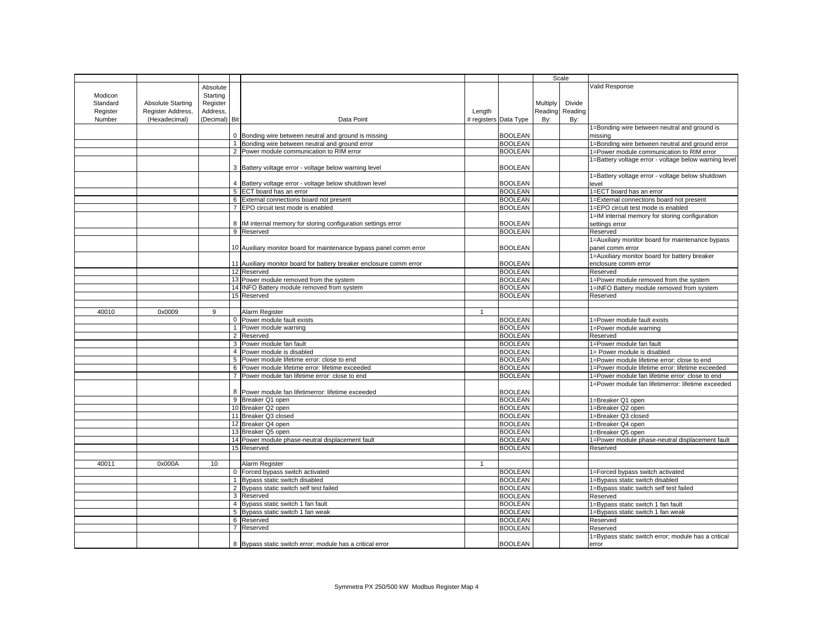|          |                   |                |                |                                                                     |              |                       |          | Scale   |                                                       |
|----------|-------------------|----------------|----------------|---------------------------------------------------------------------|--------------|-----------------------|----------|---------|-------------------------------------------------------|
|          |                   |                |                |                                                                     |              |                       |          |         | Valid Response                                        |
|          |                   | Absolute       |                |                                                                     |              |                       |          |         |                                                       |
| Modicon  |                   | Starting       |                |                                                                     |              |                       |          |         |                                                       |
| Standard | Absolute Starting | Register       |                |                                                                     |              |                       | Multiply | Divide  |                                                       |
| Register | Register Address, | Address,       |                |                                                                     | Length       |                       | Reading  | Reading |                                                       |
| Number   | (Hexadecimal)     | (Decimal) Bit  |                | Data Point                                                          |              | # registers Data Type | By:      | By:     |                                                       |
|          |                   |                |                |                                                                     |              |                       |          |         | 1=Bonding wire between neutral and ground is          |
|          |                   |                |                | 0 Bonding wire between neutral and ground is missing                |              | <b>BOOLEAN</b>        |          |         | missing                                               |
|          |                   |                |                | Bonding wire between neutral and ground error                       |              | <b>BOOLEAN</b>        |          |         | 1=Bonding wire between neutral and ground error       |
|          |                   |                |                | 2 Power module communication to RIM error                           |              | <b>BOOLEAN</b>        |          |         | 1=Power module communication to RIM error             |
|          |                   |                |                |                                                                     |              |                       |          |         | 1=Battery voltage error - voltage below warning level |
|          |                   |                |                | 3 Battery voltage error - voltage below warning level               |              | <b>BOOLEAN</b>        |          |         |                                                       |
|          |                   |                |                |                                                                     |              |                       |          |         | 1=Battery voltage error - voltage below shutdown      |
|          |                   |                |                | 4 Battery voltage error - voltage below shutdown level              |              | <b>BOOLEAN</b>        |          |         | level                                                 |
|          |                   |                |                | 5 ECT board has an error                                            |              | <b>BOOLEAN</b>        |          |         | 1=ECT board has an error                              |
|          |                   |                |                | 6 External connections board not present                            |              | <b>BOOLEAN</b>        |          |         | 1=External connections board not present              |
|          |                   |                |                |                                                                     |              | <b>BOOLEAN</b>        |          |         |                                                       |
|          |                   |                |                | 7 EPO circuit test mode is enabled                                  |              |                       |          |         | 1=EPO circuit test mode is enabled                    |
|          |                   |                |                |                                                                     |              |                       |          |         | 1=IM internal memory for storing configuration        |
|          |                   |                |                | 8  IM internal memory for storing configuration settings error      |              | <b>BOOLEAN</b>        |          |         | settings error                                        |
|          |                   |                |                | 9 Reserved                                                          |              | <b>BOOLEAN</b>        |          |         | Reserved                                              |
|          |                   |                |                |                                                                     |              |                       |          |         | 1=Auxiliary monitor board for maintenance bypass      |
|          |                   |                |                | 10 Auxiliary monitor board for maintenance bypass panel comm error  |              | <b>BOOLEAN</b>        |          |         | panel comm error                                      |
|          |                   |                |                |                                                                     |              |                       |          |         | 1=Auxiliary monitor board for battery breaker         |
|          |                   |                |                | 11 Auxiliary monitor board for battery breaker enclosure comm error |              | <b>BOOLEAN</b>        |          |         | enclosure comm error                                  |
|          |                   |                |                | 12 Reserved                                                         |              | <b>BOOLEAN</b>        |          |         | Reserved                                              |
|          |                   |                |                | 13 Power module removed from the system                             |              | <b>BOOLEAN</b>        |          |         | 1=Power module removed from the system                |
|          |                   |                |                | 14 INFO Battery module removed from system                          |              | <b>BOOLEAN</b>        |          |         | 1=INFO Battery module removed from system             |
|          |                   |                |                | 15 Reserved                                                         |              | <b>BOOLEAN</b>        |          |         | Reserved                                              |
|          |                   |                |                |                                                                     |              |                       |          |         |                                                       |
| 40010    | 0x0009            | $\overline{9}$ |                | Alarm Register                                                      | $\mathbf{1}$ |                       |          |         |                                                       |
|          |                   |                |                | 0 Power module fault exists                                         |              | <b>BOOLEAN</b>        |          |         | 1=Power module fault exists                           |
|          |                   |                |                | 1 Power module warning                                              |              | <b>BOOLEAN</b>        |          |         |                                                       |
|          |                   |                |                |                                                                     |              | <b>BOOLEAN</b>        |          |         | 1=Power module warning                                |
|          |                   |                |                | 2 Reserved                                                          |              |                       |          |         | Reserved                                              |
|          |                   |                |                | 3 Power module fan fault                                            |              | <b>BOOLEAN</b>        |          |         | 1=Power module fan fault                              |
|          |                   |                |                | 4 Power module is disabled                                          |              | <b>BOOLEAN</b>        |          |         | 1= Power module is disabled                           |
|          |                   |                |                | 5 Power module lifetime error: close to end                         |              | <b>BOOLEAN</b>        |          |         | 1=Power module lifetime error: close to end           |
|          |                   |                |                | 6 Power module lifetime error: lifetime exceeded                    |              | <b>BOOLEAN</b>        |          |         | 1=Power module lifetime error: lifetime exceeded      |
|          |                   |                | $\overline{7}$ | Power module fan lifetime error: close to end                       |              | <b>BOOLEAN</b>        |          |         | 1=Power module fan lifetime error: close to end       |
|          |                   |                |                |                                                                     |              |                       |          |         | 1=Power module fan lifetimerror: lifetime exceeded    |
|          |                   |                |                | 8 Power module fan lifetimerror: lifetime exceeded                  |              | <b>BOOLEAN</b>        |          |         |                                                       |
|          |                   |                |                | 9 Breaker Q1 open                                                   |              | <b>BOOLEAN</b>        |          |         | 1=Breaker Q1 open                                     |
|          |                   |                |                | 10 Breaker Q2 open                                                  |              | <b>BOOLEAN</b>        |          |         | 1=Breaker Q2 open                                     |
|          |                   |                |                | 11 Breaker Q3 closed                                                |              | <b>BOOLEAN</b>        |          |         | 1=Breaker Q3 closed                                   |
|          |                   |                |                | 12 Breaker Q4 open                                                  |              | <b>BOOLEAN</b>        |          |         | 1=Breaker Q4 open                                     |
|          |                   |                |                | 13 Breaker Q5 open                                                  |              | <b>BOOLEAN</b>        |          |         | 1=Breaker Q5 open                                     |
|          |                   |                |                | 14 Power module phase-neutral displacement fault                    |              | <b>BOOLEAN</b>        |          |         | 1=Power module phase-neutral displacement fault       |
|          |                   |                |                | 15 Reserved                                                         |              | <b>BOOLEAN</b>        |          |         | Reserved                                              |
|          |                   |                |                |                                                                     |              |                       |          |         |                                                       |
| 40011    | 0x000A            | 10             |                | Alarm Register                                                      | 1            |                       |          |         |                                                       |
|          |                   |                |                | 0 Forced bypass switch activated                                    |              | <b>BOOLEAN</b>        |          |         | 1=Forced bypass switch activated                      |
|          |                   |                |                | 1 Bypass static switch disabled                                     |              | <b>BOOLEAN</b>        |          |         | 1=Bypass static switch disabled                       |
|          |                   |                |                | 2 Bypass static switch self test failed                             |              | <b>BOOLEAN</b>        |          |         |                                                       |
|          |                   |                |                |                                                                     |              |                       |          |         | 1=Bypass static switch self test failed               |
|          |                   |                |                | 3 Reserved                                                          |              | <b>BOOLEAN</b>        |          |         | Reserved                                              |
|          |                   |                |                | 4 Bypass static switch 1 fan fault                                  |              | <b>BOOLEAN</b>        |          |         | 1=Bypass static switch 1 fan fault                    |
|          |                   |                |                | 5 Bypass static switch 1 fan weak                                   |              | <b>BOOLEAN</b>        |          |         | 1=Bypass static switch 1 fan weak                     |
|          |                   |                |                | 6 Reserved                                                          |              | <b>BOOLEAN</b>        |          |         | Reserved                                              |
|          |                   |                |                | 7 Reserved                                                          |              | <b>BOOLEAN</b>        |          |         | Reserved                                              |
|          |                   |                |                |                                                                     |              |                       |          |         | 1=Bypass static switch error; module has a critical   |
|          |                   |                |                | 8 Bypass static switch error; module has a critical error           |              | <b>BOOLEAN</b>        |          |         | error                                                 |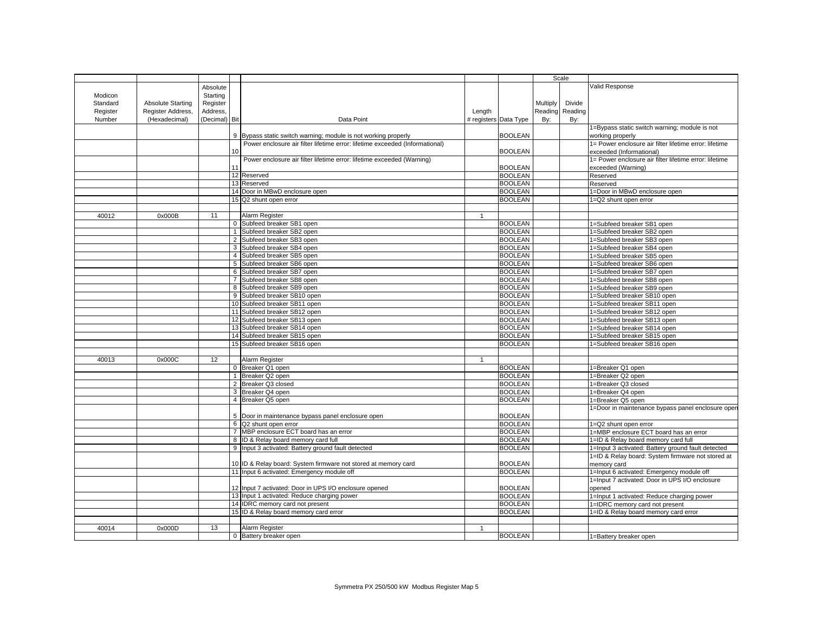|          |                          |               |    |                                                                              |              |                       | Scale    |         |                                                        |
|----------|--------------------------|---------------|----|------------------------------------------------------------------------------|--------------|-----------------------|----------|---------|--------------------------------------------------------|
|          |                          |               |    |                                                                              |              |                       |          |         | Valid Response                                         |
|          |                          | Absolute      |    |                                                                              |              |                       |          |         |                                                        |
| Modicon  |                          | Starting      |    |                                                                              |              |                       |          |         |                                                        |
| Standard | <b>Absolute Starting</b> | Register      |    |                                                                              |              |                       | Multiply | Divide  |                                                        |
| Register | Register Address,        | Address,      |    |                                                                              | Length       |                       | Reading  | Reading |                                                        |
| Number   | (Hexadecimal)            | (Decimal) Bit |    | Data Point                                                                   |              | # registers Data Type | By:      | By:     |                                                        |
|          |                          |               |    |                                                                              |              |                       |          |         | 1=Bypass static switch warning; module is not          |
|          |                          |               |    | 9 Bypass static switch warning; module is not working properly               |              | <b>BOOLEAN</b>        |          |         | working properly                                       |
|          |                          |               |    | Power enclosure air filter lifetime error: lifetime exceeded (Informational) |              |                       |          |         | 1= Power enclosure air filter lifetime error: lifetime |
|          |                          |               | 10 |                                                                              |              | <b>BOOLEAN</b>        |          |         | exceeded (Informational)                               |
|          |                          |               |    | Power enclosure air filter lifetime error: lifetime exceeded (Warning)       |              |                       |          |         | 1= Power enclosure air filter lifetime error: lifetime |
|          |                          |               |    |                                                                              |              | <b>BOOLEAN</b>        |          |         | exceeded (Warning)                                     |
|          |                          |               |    | 12 Reserved                                                                  |              | <b>BOOLEAN</b>        |          |         | Reserved                                               |
|          |                          |               |    | 13 Reserved                                                                  |              | <b>BOOLEAN</b>        |          |         | Reserved                                               |
|          |                          |               |    | 14 Door in MBwD enclosure open                                               |              | <b>BOOLEAN</b>        |          |         | 1=Door in MBwD enclosure open                          |
|          |                          |               |    | 15 Q2 shunt open error                                                       |              | <b>BOOLEAN</b>        |          |         | 1=Q2 shunt open error                                  |
|          |                          |               |    |                                                                              |              |                       |          |         |                                                        |
|          |                          |               |    |                                                                              |              |                       |          |         |                                                        |
| 40012    | 0x000B                   | 11            |    | Alarm Register                                                               | $\mathbf{1}$ |                       |          |         |                                                        |
|          |                          |               |    | 0 Subfeed breaker SB1 open                                                   |              | <b>BOOLEAN</b>        |          |         | 1=Subfeed breaker SB1 open                             |
|          |                          |               |    | 1 Subfeed breaker SB2 open                                                   |              | <b>BOOLEAN</b>        |          |         | 1=Subfeed breaker SB2 open                             |
|          |                          |               |    | 2 Subfeed breaker SB3 open                                                   |              | <b>BOOLEAN</b>        |          |         | 1=Subfeed breaker SB3 open                             |
|          |                          |               |    | 3 Subfeed breaker SB4 open                                                   |              | <b>BOOLEAN</b>        |          |         | 1=Subfeed breaker SB4 open                             |
|          |                          |               |    | 4 Subfeed breaker SB5 open                                                   |              | <b>BOOLEAN</b>        |          |         | 1=Subfeed breaker SB5 open                             |
|          |                          |               |    | 5 Subfeed breaker SB6 open                                                   |              | <b>BOOLEAN</b>        |          |         | 1=Subfeed breaker SB6 open                             |
|          |                          |               |    | 6 Subfeed breaker SB7 open                                                   |              | <b>BOOLEAN</b>        |          |         | 1=Subfeed breaker SB7 open                             |
|          |                          |               |    | 7 Subfeed breaker SB8 open                                                   |              | <b>BOOLEAN</b>        |          |         | 1=Subfeed breaker SB8 open                             |
|          |                          |               |    | 8 Subfeed breaker SB9 open                                                   |              | <b>BOOLEAN</b>        |          |         | 1=Subfeed breaker SB9 open                             |
|          |                          |               |    | 9 Subfeed breaker SB10 open                                                  |              | <b>BOOLEAN</b>        |          |         | 1=Subfeed breaker SB10 open                            |
|          |                          |               |    | 10 Subfeed breaker SB11 open                                                 |              | <b>BOOLEAN</b>        |          |         | 1=Subfeed breaker SB11 open                            |
|          |                          |               |    | 11 Subfeed breaker SB12 open                                                 |              | <b>BOOLEAN</b>        |          |         | 1=Subfeed breaker SB12 open                            |
|          |                          |               |    | 12 Subfeed breaker SB13 open                                                 |              | <b>BOOLEAN</b>        |          |         | 1=Subfeed breaker SB13 open                            |
|          |                          |               |    | 13 Subfeed breaker SB14 open                                                 |              | <b>BOOLEAN</b>        |          |         | 1=Subfeed breaker SB14 open                            |
|          |                          |               |    |                                                                              |              |                       |          |         |                                                        |
|          |                          |               |    | 14 Subfeed breaker SB15 open                                                 |              | <b>BOOLEAN</b>        |          |         | 1=Subfeed breaker SB15 open                            |
|          |                          |               |    | 15 Subfeed breaker SB16 open                                                 |              | <b>BOOLEAN</b>        |          |         | 1=Subfeed breaker SB16 open                            |
|          |                          |               |    |                                                                              |              |                       |          |         |                                                        |
| 40013    | 0x000C                   | 12            |    | Alarm Register                                                               | $\mathbf{1}$ |                       |          |         |                                                        |
|          |                          |               |    | 0 Breaker Q1 open                                                            |              | <b>BOOLEAN</b>        |          |         | 1=Breaker Q1 open                                      |
|          |                          |               |    | 1 Breaker Q2 open                                                            |              | <b>BOOLEAN</b>        |          |         | 1=Breaker Q2 open                                      |
|          |                          |               |    | 2 Breaker Q3 closed                                                          |              | <b>BOOLEAN</b>        |          |         | 1=Breaker Q3 closed                                    |
|          |                          |               |    | 3 Breaker Q4 open                                                            |              | <b>BOOLEAN</b>        |          |         | 1=Breaker Q4 open                                      |
|          |                          |               |    | 4 Breaker Q5 open                                                            |              | <b>BOOLEAN</b>        |          |         | 1=Breaker Q5 open                                      |
|          |                          |               |    |                                                                              |              |                       |          |         | 1=Door in maintenance bypass panel enclosure oper      |
|          |                          |               |    | 5 Door in maintenance bypass panel enclosure open                            |              | <b>BOOLEAN</b>        |          |         |                                                        |
|          |                          |               |    | 6 Q2 shunt open error                                                        |              | <b>BOOLEAN</b>        |          |         | 1=Q2 shunt open error                                  |
|          |                          |               |    | 7 MBP enclosure ECT board has an error                                       |              | <b>BOOLEAN</b>        |          |         | 1=MBP enclosure ECT board has an error                 |
|          |                          |               |    | 8 ID & Relay board memory card full                                          |              | <b>BOOLEAN</b>        |          |         | 1=ID & Relay board memory card full                    |
|          |                          |               |    | 9 Input 3 activated: Battery ground fault detected                           |              | <b>BOOLEAN</b>        |          |         | 1=Input 3 activated: Battery ground fault detected     |
|          |                          |               |    |                                                                              |              |                       |          |         | 1=ID & Relay board: System firmware not stored at      |
|          |                          |               |    | 10 ID & Relay board: System firmware not stored at memory card               |              | <b>BOOLEAN</b>        |          |         | memory card                                            |
|          |                          |               |    |                                                                              |              | <b>BOOLEAN</b>        |          |         | 1=Input 6 activated: Emergency module off              |
|          |                          |               |    | 11 Input 6 activated: Emergency module off                                   |              |                       |          |         |                                                        |
|          |                          |               |    |                                                                              |              |                       |          |         | 1=Input 7 activated: Door in UPS I/O enclosure         |
|          |                          |               |    | 12 Input 7 activated: Door in UPS I/O enclosure opened                       |              | <b>BOOLEAN</b>        |          |         | opened                                                 |
|          |                          |               |    | 13 Input 1 activated: Reduce charging power                                  |              | <b>BOOLEAN</b>        |          |         | 1=Input 1 activated: Reduce charging power             |
|          |                          |               |    | 14 IDRC memory card not present                                              |              | <b>BOOLEAN</b>        |          |         | 1=IDRC memory card not present                         |
|          |                          |               |    | 15 ID & Relay board memory card error                                        |              | <b>BOOLEAN</b>        |          |         | 1=ID & Relay board memory card error                   |
|          |                          |               |    |                                                                              |              |                       |          |         |                                                        |
| 40014    | 0x000D                   | 13            |    | Alarm Register                                                               |              |                       |          |         |                                                        |
|          |                          |               |    | 0 Battery breaker open                                                       |              | <b>BOOLEAN</b>        |          |         | 1=Battery breaker open                                 |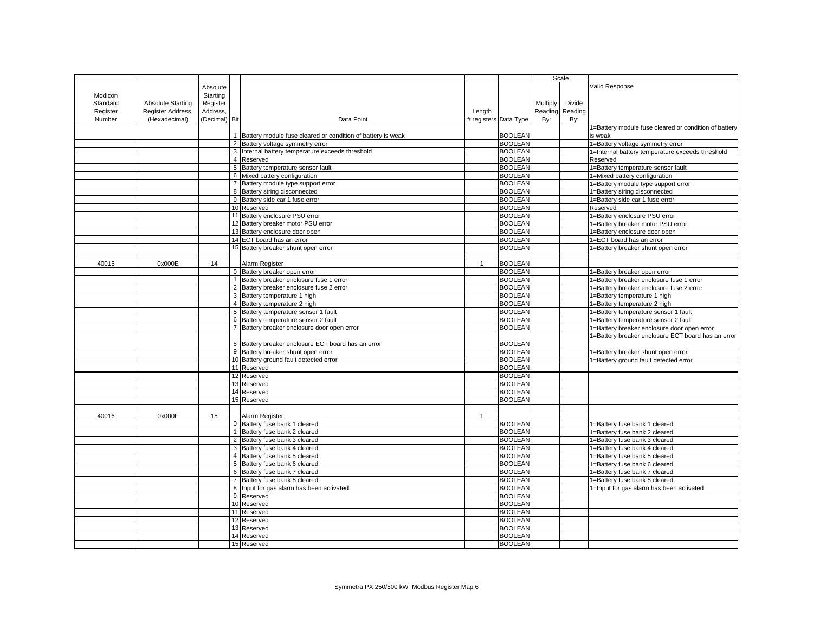|          |                   |               |                |                                                             |        |                       | Scale    |         |                                                       |
|----------|-------------------|---------------|----------------|-------------------------------------------------------------|--------|-----------------------|----------|---------|-------------------------------------------------------|
|          |                   |               |                |                                                             |        |                       |          |         | Valid Response                                        |
|          |                   | Absolute      |                |                                                             |        |                       |          |         |                                                       |
| Modicon  |                   | Starting      |                |                                                             |        |                       |          |         |                                                       |
| Standard | Absolute Starting | Register      |                |                                                             |        |                       | Multiply | Divide  |                                                       |
| Register | Register Address, | Address.      |                |                                                             | Length |                       | Reading  | Reading |                                                       |
| Number   | (Hexadecimal)     | (Decimal) Bit |                | Data Point                                                  |        | # registers Data Type | By:      | By:     |                                                       |
|          |                   |               |                |                                                             |        |                       |          |         | 1=Battery module fuse cleared or condition of battery |
|          |                   |               |                | Battery module fuse cleared or condition of battery is weak |        | <b>BOOLEAN</b>        |          |         | s weak                                                |
|          |                   |               |                | 2 Battery voltage symmetry error                            |        | <b>BOOLEAN</b>        |          |         | 1=Battery voltage symmetry error                      |
|          |                   |               |                | 3 Internal battery temperature exceeds threshold            |        | <b>BOOLEAN</b>        |          |         | 1=Internal battery temperature exceeds threshold      |
|          |                   |               |                | 4 Reserved                                                  |        | <b>BOOLEAN</b>        |          |         | Reserved                                              |
|          |                   |               |                | 5 Battery temperature sensor fault                          |        | <b>BOOLEAN</b>        |          |         | 1=Battery temperature sensor fault                    |
|          |                   |               |                | 6 Mixed battery configuration                               |        | <b>BOOLEAN</b>        |          |         | 1=Mixed battery configuration                         |
|          |                   |               |                | 7 Battery module type support error                         |        | <b>BOOLEAN</b>        |          |         | 1=Battery module type support error                   |
|          |                   |               |                |                                                             |        | <b>BOOLEAN</b>        |          |         |                                                       |
|          |                   |               | 8              | Battery string disconnected                                 |        |                       |          |         | 1=Battery string disconnected                         |
|          |                   |               |                | 9 Battery side car 1 fuse error                             |        | <b>BOOLEAN</b>        |          |         | 1=Battery side car 1 fuse error                       |
|          |                   |               |                | 10 Reserved                                                 |        | <b>BOOLEAN</b>        |          |         | Reserved                                              |
|          |                   |               |                | 11 Battery enclosure PSU error                              |        | <b>BOOLEAN</b>        |          |         | 1=Battery enclosure PSU error                         |
|          |                   |               |                | Battery breaker motor PSU error                             |        | <b>BOOLEAN</b>        |          |         | 1=Battery breaker motor PSU error                     |
|          |                   |               |                | 13 Battery enclosure door open                              |        | <b>BOOLEAN</b>        |          |         | 1=Battery enclosure door open                         |
|          |                   |               |                | 14 ECT board has an error                                   |        | <b>BOOLEAN</b>        |          |         | 1=ECT board has an error                              |
|          |                   |               |                | 15 Battery breaker shunt open error                         |        | <b>BOOLEAN</b>        |          |         | 1=Battery breaker shunt open error                    |
|          |                   |               |                |                                                             |        |                       |          |         |                                                       |
| 40015    | 0x000E            | 14            |                | Alarm Register                                              | -1     | <b>BOOLEAN</b>        |          |         |                                                       |
|          |                   |               |                | 0 Battery breaker open error                                |        | <b>BOOLEAN</b>        |          |         | 1=Battery breaker open error                          |
|          |                   |               |                | 1 Battery breaker enclosure fuse 1 error                    |        | <b>BOOLEAN</b>        |          |         | 1=Battery breaker enclosure fuse 1 error              |
|          |                   |               | $\overline{2}$ | Battery breaker enclosure fuse 2 error                      |        | <b>BOOLEAN</b>        |          |         | 1=Battery breaker enclosure fuse 2 error              |
|          |                   |               |                |                                                             |        | <b>BOOLEAN</b>        |          |         |                                                       |
|          |                   |               |                | 3 Battery temperature 1 high                                |        |                       |          |         | 1=Battery temperature 1 high                          |
|          |                   |               |                | 4 Battery temperature 2 high                                |        | <b>BOOLEAN</b>        |          |         | 1=Battery temperature 2 high                          |
|          |                   |               |                | 5 Battery temperature sensor 1 fault                        |        | <b>BOOLEAN</b>        |          |         | 1=Battery temperature sensor 1 fault                  |
|          |                   |               |                | 6 Battery temperature sensor 2 fault                        |        | <b>BOOLEAN</b>        |          |         | 1=Battery temperature sensor 2 fault                  |
|          |                   |               | $\overline{7}$ | Battery breaker enclosure door open error                   |        | <b>BOOLEAN</b>        |          |         | 1=Battery breaker enclosure door open error           |
|          |                   |               |                |                                                             |        |                       |          |         | 1=Battery breaker enclosure ECT board has an error    |
|          |                   |               |                | 8 Battery breaker enclosure ECT board has an error          |        | <b>BOOLEAN</b>        |          |         |                                                       |
|          |                   |               |                | 9 Battery breaker shunt open error                          |        | <b>BOOLEAN</b>        |          |         | 1=Battery breaker shunt open error                    |
|          |                   |               |                | 10 Battery ground fault detected error                      |        | <b>BOOLEAN</b>        |          |         | 1=Battery ground fault detected error                 |
|          |                   |               |                | 11 Reserved                                                 |        | <b>BOOLEAN</b>        |          |         |                                                       |
|          |                   |               |                | 12 Reserved                                                 |        | <b>BOOLEAN</b>        |          |         |                                                       |
|          |                   |               |                | 13 Reserved                                                 |        | <b>BOOLEAN</b>        |          |         |                                                       |
|          |                   |               |                | 14 Reserved                                                 |        | <b>BOOLEAN</b>        |          |         |                                                       |
|          |                   |               |                |                                                             |        | <b>BOOLEAN</b>        |          |         |                                                       |
|          |                   |               |                | 15 Reserved                                                 |        |                       |          |         |                                                       |
|          |                   |               |                |                                                             |        |                       |          |         |                                                       |
| 40016    | 0x000F            | 15            |                | Alarm Register                                              |        |                       |          |         |                                                       |
|          |                   |               | $\mathsf 0$    | Battery fuse bank 1 cleared                                 |        | <b>BOOLEAN</b>        |          |         | 1=Battery fuse bank 1 cleared                         |
|          |                   |               |                | 1 Battery fuse bank 2 cleared                               |        | <b>BOOLEAN</b>        |          |         | 1=Battery fuse bank 2 cleared                         |
|          |                   |               | 2              | Battery fuse bank 3 cleared                                 |        | <b>BOOLEAN</b>        |          |         | 1=Battery fuse bank 3 cleared                         |
|          |                   |               |                | 3 Battery fuse bank 4 cleared                               |        | <b>BOOLEAN</b>        |          |         | 1=Battery fuse bank 4 cleared                         |
|          |                   |               |                | 4 Battery fuse bank 5 cleared                               |        | <b>BOOLEAN</b>        |          |         | 1=Battery fuse bank 5 cleared                         |
|          |                   |               |                | 5 Battery fuse bank 6 cleared                               |        | <b>BOOLEAN</b>        |          |         | 1=Battery fuse bank 6 cleared                         |
|          |                   |               |                | 6 Battery fuse bank 7 cleared                               |        | <b>BOOLEAN</b>        |          |         | 1=Battery fuse bank 7 cleared                         |
|          |                   |               | $\overline{7}$ | Battery fuse bank 8 cleared                                 |        | <b>BOOLEAN</b>        |          |         | 1=Battery fuse bank 8 cleared                         |
|          |                   |               |                | 8 Input for gas alarm has been activated                    |        | <b>BOOLEAN</b>        |          |         | 1=Input for gas alarm has been activated              |
|          |                   |               |                | 9 Reserved                                                  |        | <b>BOOLEAN</b>        |          |         |                                                       |
|          |                   |               |                | 10 Reserved                                                 |        | <b>BOOLEAN</b>        |          |         |                                                       |
|          |                   |               |                |                                                             |        |                       |          |         |                                                       |
|          |                   |               |                | 11 Reserved                                                 |        | <b>BOOLEAN</b>        |          |         |                                                       |
|          |                   |               |                | 12 Reserved                                                 |        | <b>BOOLEAN</b>        |          |         |                                                       |
|          |                   |               |                | 13 Reserved                                                 |        | <b>BOOLEAN</b>        |          |         |                                                       |
|          |                   |               |                | 14 Reserved                                                 |        | <b>BOOLEAN</b>        |          |         |                                                       |
|          |                   |               |                | 15 Reserved                                                 |        | <b>BOOLEAN</b>        |          |         |                                                       |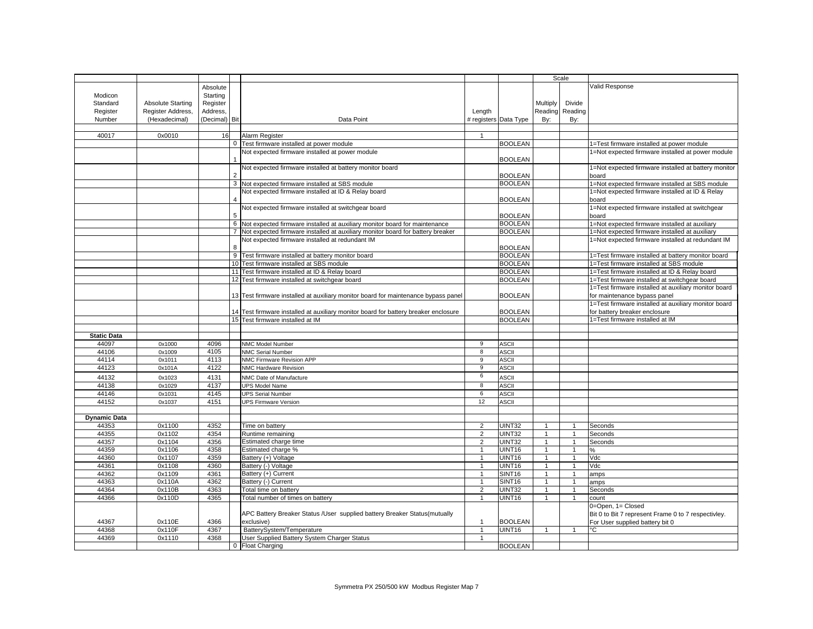|                              |                          |              |              |                                                                                     |                |                              | Scale          |                |                                                      |
|------------------------------|--------------------------|--------------|--------------|-------------------------------------------------------------------------------------|----------------|------------------------------|----------------|----------------|------------------------------------------------------|
|                              |                          | Absolute     |              |                                                                                     |                |                              |                |                | Valid Response                                       |
| Modicon                      |                          | Starting     |              |                                                                                     |                |                              |                |                |                                                      |
| Standard                     | <b>Absolute Starting</b> | Register     |              |                                                                                     |                |                              | Multiply       | Divide         |                                                      |
| Register                     | Register Address,        | Address,     |              |                                                                                     | Length         |                              | Reading        | Reading        |                                                      |
| Number                       | (Hexadecimal)            | (Decimal)    | Bit          | Data Point                                                                          |                | # registers Data Type        | By:            | By:            |                                                      |
|                              |                          |              |              |                                                                                     |                |                              |                |                |                                                      |
| 40017                        | 0x0010                   | 16           |              | Alarm Register                                                                      |                |                              |                |                |                                                      |
|                              |                          |              | $\mathbf{0}$ | Test firmware installed at power module                                             |                | <b>BOOLEAN</b>               |                |                | 1=Test firmware installed at power module            |
|                              |                          |              |              | Not expected firmware installed at power module                                     |                |                              |                |                | 1=Not expected firmware installed at power module    |
|                              |                          |              |              |                                                                                     |                | <b>BOOLEAN</b>               |                |                |                                                      |
|                              |                          |              |              | Not expected firmware installed at battery monitor board                            |                |                              |                |                | 1=Not expected firmware installed at battery monitor |
|                              |                          |              |              |                                                                                     |                | <b>BOOLEAN</b>               |                |                | board                                                |
|                              |                          |              |              | 3 Not expected firmware installed at SBS module                                     |                | <b>BOOLEAN</b>               |                |                | 1=Not expected firmware installed at SBS module      |
|                              |                          |              |              | Not expected firmware installed at ID & Relay board                                 |                |                              |                |                | 1=Not expected firmware installed at ID & Relay      |
|                              |                          |              |              |                                                                                     |                | <b>BOOLEAN</b>               |                |                | board                                                |
|                              |                          |              |              | Not expected firmware installed at switchgear board                                 |                |                              |                |                | 1=Not expected firmware installed at switchgear      |
|                              |                          |              |              |                                                                                     |                | <b>BOOLEAN</b>               |                |                | board                                                |
|                              |                          |              |              | 6 Not expected firmware installed at auxiliary monitor board for maintenance        |                | <b>BOOLEAN</b>               |                |                | 1=Not expected firmware installed at auxiliary       |
|                              |                          |              |              | Not expected firmware installed at auxiliary monitor board for battery breaker      |                | <b>BOOLEAN</b>               |                |                | 1=Not expected firmware installed at auxiliary       |
|                              |                          |              |              | Not expected firmware installed at redundant IM                                     |                |                              |                |                | 1=Not expected firmware installed at redundant IM    |
|                              |                          |              | 8            |                                                                                     |                | <b>BOOLEAN</b>               |                |                |                                                      |
|                              |                          |              |              | 9 Test firmware installed at battery monitor board                                  |                | <b>BOOLEAN</b>               |                |                | 1=Test firmware installed at battery monitor board   |
|                              |                          |              |              | 10 Test firmware installed at SBS module                                            |                | <b>BOOLEAN</b>               |                |                | 1=Test firmware installed at SBS module              |
|                              |                          |              |              | 11 Test firmware installed at ID & Relay board                                      |                | <b>BOOLEAN</b>               |                |                | 1=Test firmware installed at ID & Relay board        |
|                              |                          |              |              | 12 Test firmware installed at switchgear board                                      |                | <b>BOOLEAN</b>               |                |                | 1=Test firmware installed at switchgear board        |
|                              |                          |              |              |                                                                                     |                |                              |                |                | 1=Test firmware installed at auxiliary monitor board |
|                              |                          |              |              | 13 Test firmware installed at auxiliary monitor board for maintenance bypass panel  |                | <b>BOOLEAN</b>               |                |                | for maintenance bypass panel                         |
|                              |                          |              |              |                                                                                     |                |                              |                |                | 1=Test firmware installed at auxiliary monitor board |
|                              |                          |              |              | 14 Test firmware installed at auxiliary monitor board for battery breaker enclosure |                | <b>BOOLEAN</b>               |                |                | for battery breaker enclosure                        |
|                              |                          |              |              | 15 Test firmware installed at IM                                                    |                | <b>BOOLEAN</b>               |                |                | 1=Test firmware installed at IM                      |
|                              |                          |              |              |                                                                                     |                |                              |                |                |                                                      |
| <b>Static Data</b>           |                          |              |              |                                                                                     |                |                              |                |                |                                                      |
| 44097                        | 0x1000                   | 4096<br>4105 |              | NMC Model Number                                                                    | 9<br>8         | <b>ASCII</b>                 |                |                |                                                      |
| 44106<br>44114               | 0x1009<br>0x1011         | 4113         |              | <b>NMC Serial Number</b><br>NMC Firmware Revision APP                               | 9              | <b>ASCII</b><br><b>ASCII</b> |                |                |                                                      |
| 44123                        | 0x101A                   | 4122         |              | NMC Hardware Revision                                                               | 9              | <b>ASCII</b>                 |                |                |                                                      |
|                              |                          |              |              |                                                                                     | 6              |                              |                |                |                                                      |
| 44132                        | 0x1023                   | 4131         |              | NMC Date of Manufacture                                                             |                | ASCII                        |                |                |                                                      |
| 44138                        | 0x1029                   | 4137         |              | <b>UPS Model Name</b>                                                               | 8              | <b>ASCII</b>                 |                |                |                                                      |
| 44146<br>44152               | 0x1031                   | 4145<br>4151 |              | <b>UPS Serial Number</b>                                                            | 6<br>12        | <b>ASCII</b><br>ASCII        |                |                |                                                      |
|                              | 0x1037                   |              |              | <b>UPS Firmware Version</b>                                                         |                |                              |                |                |                                                      |
|                              |                          |              |              |                                                                                     |                |                              |                |                |                                                      |
| <b>Dynamic Data</b><br>44353 | 0x1100                   | 4352         |              | Time on battery                                                                     | $\overline{2}$ | UINT32                       | $\overline{1}$ | $\overline{1}$ | Seconds                                              |
| 44355                        | 0x1102                   | 4354         |              | Runtime remaining                                                                   | $\overline{2}$ | JINT32                       | $\overline{1}$ | $\mathbf{1}$   | Seconds                                              |
| 44357                        | 0x1104                   | 4356         |              | Estimated charge time                                                               | 2              | UINT32                       | $\mathbf{1}$   | $\mathbf{1}$   | Seconds                                              |
| 44359                        | 0x1106                   | 4358         |              | Estimated charge %                                                                  |                | JINT16                       |                | $\mathbf{1}$   | ℅                                                    |
| 44360                        | 0x1107                   | 4359         |              | Battery (+) Voltage                                                                 | $\overline{1}$ | UINT16                       | $\mathbf{1}$   | $\mathbf{1}$   | Vdc                                                  |
| 44361                        | 0x1108                   | 4360         |              | Battery (-) Voltage                                                                 | $\overline{1}$ | JINT <sub>16</sub>           | $\overline{1}$ | $\mathbf{1}$   | Vdc                                                  |
| 44362                        | 0x1109                   | 4361         |              | Battery (+) Current                                                                 | $\mathbf{1}$   | <b>SINT16</b>                | $\mathbf{1}$   | $\overline{1}$ | amps                                                 |
| 44363                        | 0x110A                   | 4362         |              | Battery (-) Current                                                                 | $\mathbf{1}$   | <b>SINT16</b>                | $\overline{1}$ | $\mathbf{1}$   | amps                                                 |
| 44364                        | 0x110B                   | 4363         |              | Total time on battery                                                               | $\overline{2}$ | UINT32                       | $\mathbf{1}$   | $\mathbf{1}$   | Seconds                                              |
| 44366                        | 0x110D                   | 4365         |              | Total number of times on battery                                                    | $\mathbf{1}$   | JINT16                       | $\overline{1}$ | $\mathbf{1}$   | count                                                |
|                              |                          |              |              |                                                                                     |                |                              |                |                | 0=Open, 1= Closed                                    |
|                              |                          |              |              | APC Battery Breaker Status /User supplied battery Breaker Status(mutually           |                |                              |                |                | Bit 0 to Bit 7 represent Frame 0 to 7 respectivley.  |
| 44367                        | 0x110E                   | 4366         |              | exclusive)                                                                          | $\mathbf{1}$   | <b>BOOLEAN</b>               |                |                | For User supplied battery bit 0                      |
| 44368                        | 0x110F                   | 4367         |              | BatterySystem/Temperature                                                           | $\mathbf{1}$   | JINT16                       | $\overline{1}$ | $\mathbf{1}$   | °C                                                   |
| 44369                        | 0x1110                   | 4368         |              | User Supplied Battery System Charger Status                                         | $\overline{1}$ |                              |                |                |                                                      |
|                              |                          |              |              | 0 Float Charging                                                                    |                | <b>BOOLEAN</b>               |                |                |                                                      |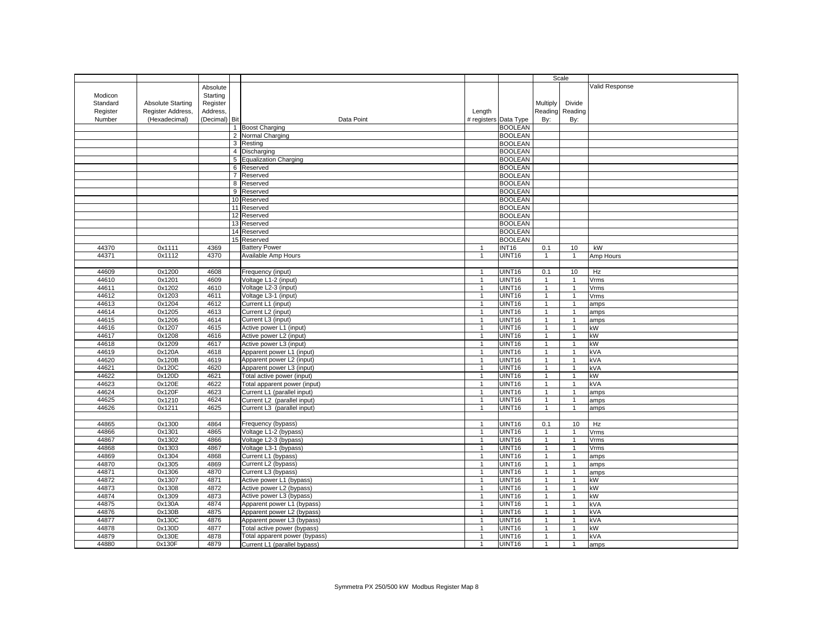|          |                          |               |                               |                                | Scale                                   |                                |                |                |
|----------|--------------------------|---------------|-------------------------------|--------------------------------|-----------------------------------------|--------------------------------|----------------|----------------|
|          |                          | Absolute      |                               |                                |                                         |                                |                | Valid Response |
| Modicon  |                          | Starting      |                               |                                |                                         |                                |                |                |
| Standard | <b>Absolute Starting</b> | Register      |                               |                                |                                         | Multiply                       | Divide         |                |
| Register | Register Address,        | Address,      |                               | Length                         |                                         | Reading                        | Reading        |                |
| Number   | (Hexadecimal)            | (Decimal) Bit | Data Point                    |                                |                                         | By:                            |                |                |
|          |                          |               | 1 Boost Charging              |                                | # registers Data Type<br><b>BOOLEAN</b> |                                | By:            |                |
|          |                          |               | 2 Normal Charging             |                                | <b>BOOLEAN</b>                          |                                |                |                |
|          |                          |               | 3 Resting                     |                                | <b>BOOLEAN</b>                          |                                |                |                |
|          |                          |               | 4 Discharging                 |                                | <b>BOOLEAN</b>                          |                                |                |                |
|          |                          |               | 5 Equalization Charging       |                                | <b>BOOLEAN</b>                          |                                |                |                |
|          |                          |               | 6 Reserved                    |                                | <b>BOOLEAN</b>                          |                                |                |                |
|          |                          |               | 7 Reserved                    |                                | <b>BOOLEAN</b>                          |                                |                |                |
|          |                          |               | 8 Reserved                    |                                | <b>BOOLEAN</b>                          |                                |                |                |
|          |                          |               | 9 Reserved                    |                                | <b>BOOLEAN</b>                          |                                |                |                |
|          |                          |               | 10 Reserved                   |                                | <b>BOOLEAN</b>                          |                                |                |                |
|          |                          |               | 11 Reserved                   |                                | <b>BOOLEAN</b>                          |                                |                |                |
|          |                          |               | 12 Reserved                   |                                | <b>BOOLEAN</b>                          |                                |                |                |
|          |                          |               | 13 Reserved                   |                                | <b>BOOLEAN</b>                          |                                |                |                |
|          |                          |               | 14 Reserved                   |                                | <b>BOOLEAN</b>                          |                                |                |                |
|          |                          |               | 15 Reserved                   |                                | <b>BOOLEAN</b>                          |                                |                |                |
| 44370    | 0x1111                   | 4369          | <b>Battery Power</b>          | $\mathbf{1}$                   | <b>INT16</b>                            | 0.1                            | 10             | kW             |
| 44371    | 0x1112                   | 4370          | Available Amp Hours           | $\mathbf{1}$                   | <b>UINT16</b>                           | $\overline{1}$                 | $\mathbf{1}$   | Amp Hours      |
|          |                          |               |                               |                                |                                         |                                |                |                |
| 44609    | 0x1200                   |               |                               |                                | UINT16                                  | 0.1                            | 10             |                |
| 44610    | 0x1201                   | 4608<br>4609  | Frequency (input)             | $\mathbf{1}$                   | <b>UINT16</b>                           |                                |                | Hz             |
| 44611    |                          | 4610          | Voltage L1-2 (input)          | $\mathbf{1}$<br>$\mathbf{1}$   | UINT16                                  | $\mathbf{1}$                   | $\mathbf{1}$   | Vrms           |
|          | 0x1202                   |               | Voltage L2-3 (input)          |                                |                                         | $\mathbf{1}$                   | $\overline{1}$ | Vrms           |
| 44612    | 0x1203                   | 4611          | Voltage L3-1 (input)          | $\mathbf{1}$                   | UINT16                                  | $\mathbf{1}$                   | $\mathbf{1}$   | Vrms           |
| 44613    | 0x1204                   | 4612          | Current L1 (input)            | $\overline{1}$                 | UINT16                                  | $\overline{1}$                 | $\mathbf{1}$   | amps           |
| 44614    | 0x1205                   | 4613          | Current L2 (input)            | $\mathbf{1}$                   | UINT16                                  | $\overline{1}$                 | $\mathbf{1}$   | amps           |
| 44615    | 0x1206                   | 4614          | Current L3 (input)            | $\overline{1}$                 | UINT16                                  | $\overline{1}$                 | $\mathbf{1}$   | amps           |
| 44616    | 0x1207                   | 4615          | Active power L1 (input)       | $\overline{1}$                 | UINT16                                  | $\overline{1}$                 | $\mathbf{1}$   | kW             |
| 44617    | 0x1208                   | 4616          | Active power L2 (input)       | $\mathbf{1}$                   | UINT16                                  | $\overline{1}$                 | $\mathbf{1}$   | kW             |
| 44618    | 0x1209                   | 4617          | Active power L3 (input)       | $\overline{1}$                 | UINT16                                  | $\overline{1}$                 | $\mathbf{1}$   | kW             |
| 44619    | 0x120A                   | 4618          | Apparent power L1 (input)     | $\overline{1}$                 | UINT16                                  | $\mathbf{1}$                   | $\overline{1}$ | kVA            |
| 44620    | 0x120B                   | 4619          | Apparent power L2 (input)     | $\mathbf{1}$<br>$\overline{1}$ | UINT16                                  | $\mathbf{1}$<br>$\overline{1}$ | $\overline{1}$ | kVA            |
| 44621    | 0x120C                   | 4620          | Apparent power L3 (input)     |                                | UINT16                                  |                                | $\mathbf{1}$   | kVA            |
| 44622    | 0x120D                   | 4621          | Total active power (input)    | $\overline{1}$                 | UINT16                                  | $\mathbf{1}$                   | $\overline{1}$ | kW             |
| 44623    | 0x120E                   | 4622          | Total apparent power (input)  | $\overline{1}$                 | UINT16                                  | $\overline{1}$                 | $\mathbf{1}$   | kVA            |
| 44624    | 0x120F                   | 4623          | Current L1 (parallel input)   | $\mathbf{1}$                   | UINT16                                  | $\overline{1}$                 | $\mathbf{1}$   | amps           |
| 44625    | 0x1210                   | 4624          | Current L2 (parallel input)   | $\mathbf{1}$                   | UINT16                                  | $\mathbf{1}$                   | $\mathbf{1}$   | amps           |
| 44626    | 0x1211                   | 4625          | Current L3 (parallel input)   | $\mathbf{1}$                   | UINT16                                  | $\overline{1}$                 | $\mathbf{1}$   | amps           |
|          |                          |               |                               |                                |                                         |                                |                |                |
| 44865    | 0x1300                   | 4864          | Frequency (bypass)            | $\mathbf{1}$                   | UINT16                                  | 0.1                            | 10             | Hz             |
| 44866    | 0x1301                   | 4865          | Voltage L1-2 (bypass)         | $\mathbf{1}$                   | UINT16                                  | $\overline{1}$                 | $\overline{1}$ | Vrms           |
| 44867    | 0x1302                   | 4866          | Voltage L2-3 (bypass)         | $\mathbf{1}$                   | <b>UINT16</b>                           | $\overline{1}$                 | $\mathbf{1}$   | Vrms           |
| 44868    | 0x1303                   | 4867          | Voltage L3-1 (bypass)         | $\mathbf{1}$                   | <b>UINT16</b>                           | $\mathbf{1}$                   | $\mathbf{1}$   | Vrms           |
| 44869    | 0x1304                   | 4868          | Current L1 (bypass)           | $\mathbf{1}$                   | UINT16                                  | $\overline{1}$                 | $\mathbf{1}$   | amps           |
| 44870    | 0x1305                   | 4869          | Current L2 (bypass)           | $\overline{1}$                 | UINT16                                  | $\overline{1}$                 | $\mathbf{1}$   | amps           |
| 44871    | 0x1306                   | 4870          | Current L3 (bypass)           | $\overline{1}$                 | <b>UINT16</b>                           | $\overline{1}$                 | $\mathbf{1}$   | amps           |
| 44872    | 0x1307                   | 4871          | Active power L1 (bypass)      | $\overline{1}$                 | UINT16                                  | $\mathbf{1}$                   | $\mathbf{1}$   | kW             |
| 44873    | 0x1308                   | 4872          | Active power L2 (bypass)      | $\mathbf{1}$                   | UINT16                                  | $\overline{1}$                 | $\overline{1}$ | kW             |
| 44874    | 0x1309                   | 4873          | Active power L3 (bypass)      | $\mathbf{1}$                   | UINT16                                  | $\mathbf{1}$                   | $\overline{1}$ | kW             |
| 44875    | 0x130A                   | 4874          | Apparent power L1 (bypass)    | $\overline{1}$                 | UINT16                                  | $\overline{1}$                 | $\mathbf{1}$   | kVA            |
| 44876    | 0x130B                   | 4875          | Apparent power L2 (bypass)    | $\overline{1}$                 | UINT16                                  | $\overline{1}$                 | $\overline{1}$ | kVA            |
| 44877    | 0x130C                   | 4876          | Apparent power L3 (bypass)    | $\overline{1}$                 | UINT16                                  | $\overline{1}$                 | $\mathbf{1}$   | kVA            |
| 44878    | 0x130D                   | 4877          | Total active power (bypass)   | $\overline{1}$                 | UINT16                                  | $\overline{1}$                 | $\overline{1}$ | kW             |
| 44879    | 0x130E                   | 4878          | Total apparent power (bypass) | $\overline{1}$                 | UINT16                                  | $\overline{1}$                 | $\mathbf{1}$   | kVA            |
| 44880    | 0x130F                   | 4879          | Current L1 (parallel bypass)  | $\overline{1}$                 | UINT16                                  | $\overline{1}$                 | $\overline{1}$ | amps           |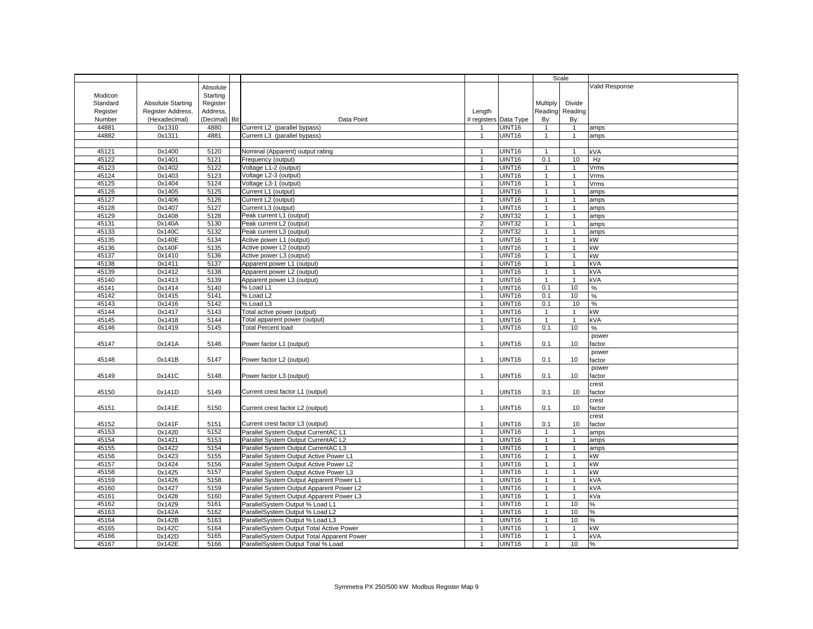|                |                          |               |                                            |                                  |                       |                                | Scale                          |                |
|----------------|--------------------------|---------------|--------------------------------------------|----------------------------------|-----------------------|--------------------------------|--------------------------------|----------------|
|                |                          | Absolute      |                                            |                                  |                       |                                |                                | Valid Response |
| Modicon        |                          | Starting      |                                            |                                  |                       |                                |                                |                |
| Standard       | <b>Absolute Starting</b> | Register      |                                            |                                  |                       | Multiply                       | Divide                         |                |
| Register       | Register Address,        | Address,      |                                            | Length                           |                       | Reading                        | Reading                        |                |
| Number         | (Hexadecimal)            | (Decimal) Bit | Data Point                                 |                                  | # registers Data Type | By:                            | By:                            |                |
| 44881          | 0x1310                   | 4880          | Current L2 (parallel bypass)               | $\overline{1}$                   | <b>UINT16</b>         | $\overline{1}$                 | $\overline{1}$                 | amps           |
| 44882          | 0x1311                   | 4881          | Current L3 (parallel bypass)               | $\mathbf{1}$                     | <b>UINT16</b>         | $\overline{1}$                 | $\mathbf{1}$                   | amps           |
|                |                          |               |                                            |                                  |                       |                                |                                |                |
| 45121          | 0x1400                   | 5120          | Nominal (Apparent) output rating           |                                  | UINT16                | $\overline{1}$                 | $\overline{1}$                 | kVA            |
| 45122          | 0x1401                   | 5121          | Frequency (output)                         | $\overline{1}$                   | UINT16                | 0.1                            | 10                             | Hz             |
| 45123          | 0x1402                   | 5122          | Voltage L1-2 (output)                      | $\overline{1}$                   | UINT16                | $\overline{1}$                 | $\mathbf{1}$                   | Vrms           |
| 45124          | 0x1403                   | 5123          | Voltage L2-3 (output)                      | $\mathbf{1}$                     | UINT16                | $\overline{1}$                 | $\mathbf{1}$                   | Vrms           |
| 45125          | 0x1404                   | 5124          | Voltage L3-1 (output)                      | $\mathbf{1}$                     | UINT16                | $\mathbf{1}$                   | $\mathbf{1}$                   | Vrms           |
| 45126          | 0x1405                   | 5125          | Current L1 (output)                        | $\mathbf{1}$                     | UINT16                | $\overline{1}$                 | $\mathbf{1}$                   | amps           |
| 45127          | 0x1406                   | 5126          | Current L2 (output)                        | -1                               | UINT16                | $\mathbf{1}$                   | $\mathbf{1}$                   | amps           |
| 45128          | 0x1407                   | 5127          | Current L3 (output)                        | $\mathbf{1}$                     | UINT16                | $\overline{1}$                 | $\mathbf{1}$                   | amps           |
| 45129          | 0x1408                   | 5128          | Peak current L1 (output)                   | $\overline{2}$                   | <b>UINT32</b>         | $\overline{1}$                 | $\mathbf{1}$                   | amps           |
| 45131          | 0x140A                   | 5130          | Peak current L2 (output)                   | $\overline{2}$                   | <b>UINT32</b>         | $\overline{1}$                 | $\mathbf{1}$                   | amps           |
| 45133          | 0x140C                   | 5132          | Peak current L3 (output)                   | $\overline{2}$                   | UINT32                | $\overline{1}$                 | $\mathbf{1}$                   | amps           |
| 45135          | 0x140E                   | 5134          | Active power L1 (output)                   | $\mathbf{1}$                     | UINT16                | $\overline{1}$                 | $\mathbf{1}$                   | kW             |
| 45136          | 0x140F                   | 5135          | Active power L2 (output)                   | $\mathbf{1}$                     | UINT16                | $\mathbf{1}$                   | $\mathbf{1}$                   | kW             |
| 45137          | 0x1410                   | 5136          | Active power L3 (output)                   | $\overline{1}$                   | UINT <sub>16</sub>    | $\overline{1}$                 | $\overline{1}$                 | kW             |
|                |                          |               |                                            |                                  |                       |                                |                                |                |
| 45138          | 0x1411                   | 5137          | Apparent power L1 (output)                 | $\mathbf{1}$<br>$\overline{1}$   | UINT16                | $\mathbf{1}$<br>$\overline{1}$ | $\mathbf{1}$<br>$\overline{1}$ | kVA            |
| 45139          | 0x1412                   | 5138          | Apparent power L2 (output)                 |                                  | <b>UINT16</b>         |                                |                                | kVA            |
| 45140<br>45141 | 0x1413                   | 5139<br>5140  | Apparent power L3 (output)                 | $\overline{1}$<br>$\overline{1}$ | UINT16                | $\overline{1}$                 | $\overline{1}$                 | kVA            |
|                | 0x1414                   |               | % Load L1                                  |                                  | UINT <sub>16</sub>    | 0.1                            | 10                             | %              |
| 45142          | 0x1415                   | 5141          | % Load L2                                  | $\mathbf{1}$                     | UINT16                | 0.1                            | 10                             | $\%$           |
| 45143          | 0x1416                   | 5142          | % Load L3                                  | $\mathbf{1}$                     | UINT <sub>16</sub>    | 0.1                            | 10                             | %              |
| 45144          | 0x1417                   | 5143          | Total active power (output)                | $\mathbf{1}$                     | UINT16                | $\overline{1}$                 | $\mathbf{1}$                   | kW             |
| 45145          | 0x1418                   | 5144          | Total apparent power (output)              | $\overline{1}$                   | <b>UINT16</b>         | $\overline{1}$                 | $\mathbf{1}$                   | kVA            |
| 45146          | 0x1419                   | 5145          | <b>Total Percent load</b>                  | $\overline{1}$                   | UINT16                | 0.1                            | 10                             | $\%$           |
|                |                          |               |                                            |                                  |                       |                                |                                | power          |
| 45147          | 0x141A                   | 5146          | Power factor L1 (output)                   | $\mathbf{1}$                     | UINT16                | 0.1                            | 10                             | factor         |
|                |                          |               |                                            |                                  |                       |                                |                                | power          |
| 45148          | 0x141B                   | 5147          | Power factor L2 (output)                   | $\overline{1}$                   | UINT16                | 0.1                            | 10                             | actor          |
|                |                          |               |                                            |                                  |                       |                                |                                | power          |
| 45149          | 0x141C                   | 5148          | Power factor L3 (output)                   | $\overline{1}$                   | UINT16                | 0.1                            | 10                             | factor         |
|                |                          |               |                                            |                                  |                       |                                |                                | crest          |
| 45150          | 0x141D                   | 5149          | Current crest factor L1 (output)           | $\mathbf{1}$                     | <b>UINT16</b>         | 0.1                            | 10                             | actor          |
|                |                          |               |                                            |                                  |                       |                                |                                | crest          |
| 45151          | 0x141E                   | 5150          | Current crest factor L2 (output)           | $\mathbf{1}$                     | UINT16                | 0.1                            | 10                             | factor         |
|                |                          |               |                                            |                                  |                       |                                |                                | crest          |
| 45152          | 0x141F                   | 5151          | Current crest factor L3 (output)           | $\mathbf{1}$                     | UINT16                | 0.1                            | 10                             | factor         |
| 45153          | 0x1420                   | 5152          | Parallel System Output CurrentAC L1        | $\overline{1}$                   | UINT <sub>16</sub>    | $\overline{1}$                 | $\mathbf{1}$                   | amps           |
| 45154          | 0x1421                   | 5153          | Parallel System Output CurrentAC L2        | $\overline{1}$                   | UINT16                | $\overline{1}$                 | $\mathbf{1}$                   | amps           |
| 45155          | 0x1422                   | 5154          | Parallel System Output CurrentAC L3        | $\mathbf{1}$                     | UINT16                | $\overline{1}$                 | $\mathbf{1}$                   | amps           |
| 45156          | 0x1423                   | 5155          | Parallel System Output Active Power L1     | $\mathbf{1}$                     | UINT16                | $\overline{1}$                 | $\mathbf{1}$                   | kW             |
| 45157          | 0x1424                   | 5156          | Parallel System Output Active Power L2     | $\overline{1}$                   | UINT16                | $\overline{1}$                 | $\mathbf{1}$                   | kW             |
| 45158          | 0x1425                   | 5157          | Parallel System Output Active Power L3     | $\mathbf{1}$                     | UINT16                | $\overline{1}$                 | $\mathbf{1}$                   | kW             |
| 45159          | 0x1426                   | 5158          | Parallel System Output Apparent Power L1   | $\mathbf{1}$                     | UINT16                | $\mathbf{1}$                   | $\mathbf{1}$                   | kVA            |
| 45160          | 0x1427                   | 5159          | Parallel System Output Apparent Power L2   | $\mathbf{1}$                     | UINT16                | $\overline{1}$                 | $\mathbf{1}$                   | kVA            |
| 45161          | 0x1428                   | 5160          | Parallel System Output Apparent Power L3   | $\mathbf{1}$                     | UINT16                | $\overline{1}$                 | $\overline{1}$                 | kVa            |
| 45162          | 0x1429                   | 5161          | ParallelSystem Output % Load L1            | $\overline{1}$                   | <b>UINT16</b>         | $\overline{1}$                 | 10                             | %              |
| 45163          | 0x142A                   | 5162          | ParallelSystem Output % Load L2            | $\mathbf{1}$                     | UINT16                | $\overline{1}$                 | 10                             | %              |
| 45164          | 0x142B                   | 5163          | ParallelSystem Output % Load L3            | $\mathbf{1}$                     | UINT16                | $\overline{1}$                 | 10                             | $\%$           |
| 45165          | 0x142C                   | 5164          | ParallelSystem Output Total Active Power   | $\overline{1}$                   | UINT16                | $\overline{1}$                 | $\overline{1}$                 | kW             |
| 45166          | 0x142D                   | 5165          | ParallelSystem Output Total Apparent Power | $\overline{1}$                   | UINT16                | $\overline{1}$                 | $\mathbf{1}$                   | kVA            |
| 45167          | 0x142E                   | 5166          | ParallelSystem Output Total % Load         | $\overline{1}$                   | UINT16                | $\overline{1}$                 | 10                             | %              |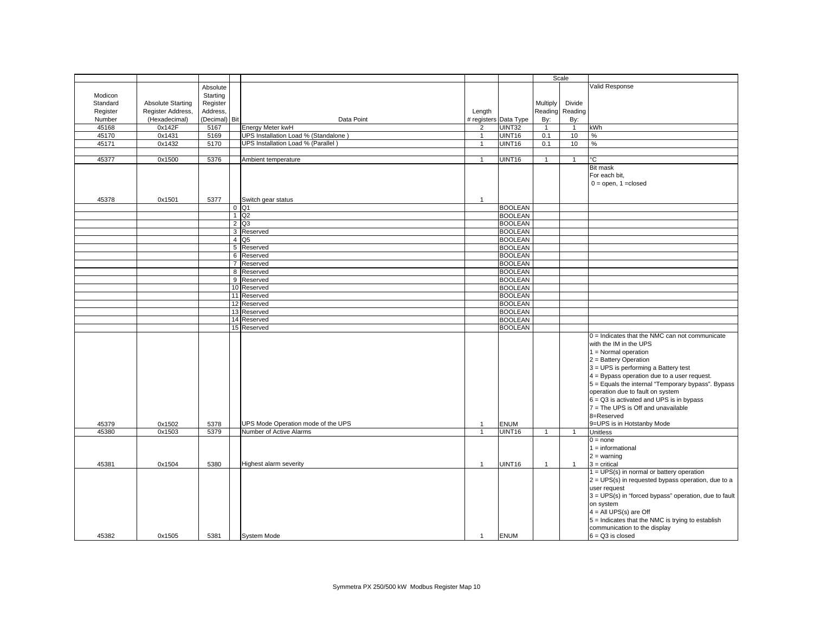|          |                          |               |                                      |                |                       |                | Scale          |                                                       |
|----------|--------------------------|---------------|--------------------------------------|----------------|-----------------------|----------------|----------------|-------------------------------------------------------|
|          |                          | Absolute      |                                      |                |                       |                |                | Valid Response                                        |
| Modicon  |                          | Starting      |                                      |                |                       |                |                |                                                       |
| Standard | <b>Absolute Starting</b> | Register      |                                      |                |                       | Multiply       | Divide         |                                                       |
|          |                          |               |                                      |                |                       | Reading        |                |                                                       |
| Register | Register Address,        | Address,      |                                      | Length         |                       |                | Reading        |                                                       |
| Number   | (Hexadecimal)            | (Decimal) Bit | Data Point                           |                | # registers Data Type | By:            | By:            |                                                       |
| 45168    | 0x142F                   | 5167          | Energy Meter kwH                     | $\overline{2}$ | UINT32                | $\overline{1}$ | $\overline{1}$ | kWh                                                   |
| 45170    | 0x1431                   | 5169          | UPS Installation Load % (Standalone) | $\mathbf{1}$   | UINT16                | 0.1            | 10             | $\%$                                                  |
| 45171    | 0x1432                   | 5170          | UPS Installation Load % (Parallel)   | $\mathbf{1}$   | UINT16                | 0.1            | 10             | $\%$                                                  |
|          |                          |               |                                      |                |                       |                |                |                                                       |
| 45377    | 0x1500                   | 5376          | Ambient temperature                  |                | UINT16                | $\overline{1}$ | $\mathbf{1}$   | °С                                                    |
|          |                          |               |                                      |                |                       |                |                | <b>Bit mask</b>                                       |
|          |                          |               |                                      |                |                       |                |                | For each bit,                                         |
|          |                          |               |                                      |                |                       |                |                |                                                       |
|          |                          |               |                                      |                |                       |                |                | $0 =$ open, 1 = closed                                |
|          |                          |               |                                      |                |                       |                |                |                                                       |
| 45378    | 0x1501                   | 5377          | Switch gear status                   | $\mathbf{1}$   |                       |                |                |                                                       |
|          |                          |               | $0$ Q1                               |                | <b>BOOLEAN</b>        |                |                |                                                       |
|          |                          |               | $1$ Q <sub>2</sub>                   |                | <b>BOOLEAN</b>        |                |                |                                                       |
|          |                          |               | 2 Q3                                 |                | <b>BOOLEAN</b>        |                |                |                                                       |
|          |                          |               | 3 Reserved                           |                | <b>BOOLEAN</b>        |                |                |                                                       |
|          |                          |               | 4 Q <sub>5</sub>                     |                |                       |                |                |                                                       |
|          |                          |               |                                      |                | <b>BOOLEAN</b>        |                |                |                                                       |
|          |                          |               | 5 Reserved                           |                | <b>BOOLEAN</b>        |                |                |                                                       |
|          |                          |               | 6 Reserved                           |                | <b>BOOLEAN</b>        |                |                |                                                       |
|          |                          |               | 7 Reserved                           |                | <b>BOOLEAN</b>        |                |                |                                                       |
|          |                          |               | 8 Reserved                           |                | <b>BOOLEAN</b>        |                |                |                                                       |
|          |                          |               | 9 Reserved                           |                | <b>BOOLEAN</b>        |                |                |                                                       |
|          |                          |               | 10 Reserved                          |                | <b>BOOLEAN</b>        |                |                |                                                       |
|          |                          |               | 11 Reserved                          |                | <b>BOOLEAN</b>        |                |                |                                                       |
|          |                          |               |                                      |                | <b>BOOLEAN</b>        |                |                |                                                       |
|          |                          |               | 12 Reserved                          |                |                       |                |                |                                                       |
|          |                          |               | 13 Reserved                          |                | <b>BOOLEAN</b>        |                |                |                                                       |
|          |                          |               | 14 Reserved                          |                | <b>BOOLEAN</b>        |                |                |                                                       |
|          |                          |               | 15 Reserved                          |                | <b>BOOLEAN</b>        |                |                |                                                       |
|          |                          |               |                                      |                |                       |                |                | $0 =$ Indicates that the NMC can not communicate      |
|          |                          |               |                                      |                |                       |                |                | with the IM in the UPS                                |
|          |                          |               |                                      |                |                       |                |                | $1 =$ Normal operation                                |
|          |                          |               |                                      |                |                       |                |                | 2 = Battery Operation                                 |
|          |                          |               |                                      |                |                       |                |                | 3 = UPS is performing a Battery test                  |
|          |                          |               |                                      |                |                       |                |                |                                                       |
|          |                          |               |                                      |                |                       |                |                | $4$ = Bypass operation due to a user request.         |
|          |                          |               |                                      |                |                       |                |                | 5 = Equals the internal "Temporary bypass". Bypass    |
|          |                          |               |                                      |                |                       |                |                | operation due to fault on system                      |
|          |                          |               |                                      |                |                       |                |                | $6 = Q3$ is activated and UPS is in bypass            |
|          |                          |               |                                      |                |                       |                |                | 7 = The UPS is Off and unavailable                    |
|          |                          |               |                                      |                |                       |                |                | 8=Reserved                                            |
| 45379    | 0x1502                   | 5378          | UPS Mode Operation mode of the UPS   | $\mathbf{1}$   | <b>ENUM</b>           |                |                | 9=UPS is in Hotstanby Mode                            |
| 45380    | 0x1503                   | 5379          | Number of Active Alarms              | $\mathbf{1}$   | <b>UINT16</b>         | $\mathbf{1}$   | $\overline{1}$ | <b>Unitless</b>                                       |
|          |                          |               |                                      |                |                       |                |                |                                                       |
|          |                          |               |                                      |                |                       |                |                | $0 = none$                                            |
|          |                          |               |                                      |                |                       |                |                | $1 = information$                                     |
|          |                          |               |                                      |                |                       |                |                | $2 = warning$                                         |
| 45381    | 0x1504                   | 5380          | Highest alarm severity               | $\overline{1}$ | UINT16                | $\overline{1}$ | $\mathbf{1}$   | $3$ = critical                                        |
|          |                          |               |                                      |                |                       |                |                | $1 = UPS(s)$ in normal or battery operation           |
|          |                          |               |                                      |                |                       |                |                | 2 = UPS(s) in requested bypass operation, due to a    |
|          |                          |               |                                      |                |                       |                |                | user request                                          |
|          |                          |               |                                      |                |                       |                |                | 3 = UPS(s) in "forced bypass" operation, due to fault |
|          |                          |               |                                      |                |                       |                |                |                                                       |
|          |                          |               |                                      |                |                       |                |                | on system                                             |
|          |                          |               |                                      |                |                       |                |                | $4 = All UPS(s)$ are Off                              |
|          |                          |               |                                      |                |                       |                |                | 5 = Indicates that the NMC is trying to establish     |
|          |                          |               |                                      |                |                       |                |                | communication to the display                          |
| 45382    | 0x1505                   | 5381          | <b>System Mode</b>                   | $\mathbf{1}$   | <b>ENUM</b>           |                |                | $6 = Q3$ is closed                                    |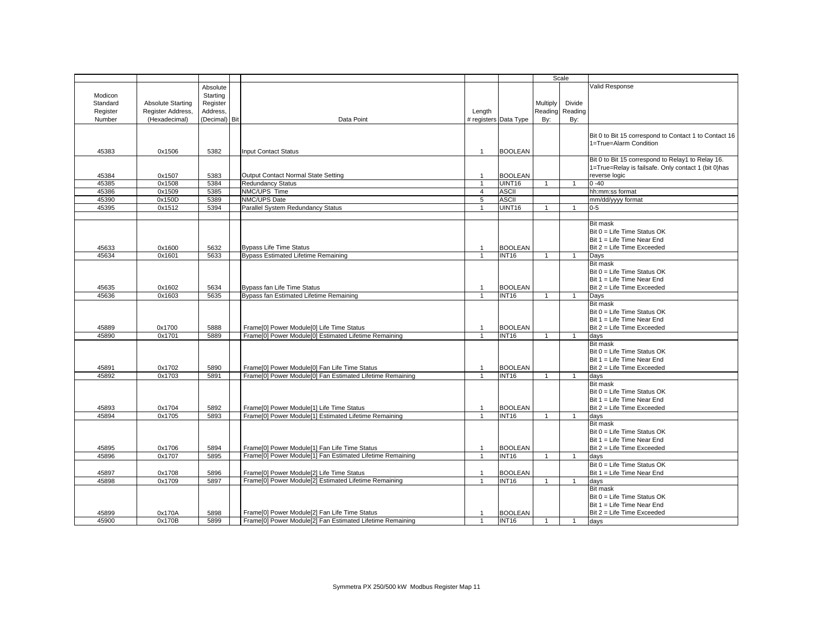|          |                          |               |                                                                                                            |                |                       | Scale          |                 |                                                       |
|----------|--------------------------|---------------|------------------------------------------------------------------------------------------------------------|----------------|-----------------------|----------------|-----------------|-------------------------------------------------------|
|          |                          |               |                                                                                                            |                |                       |                |                 | Valid Response                                        |
|          |                          | Absolute      |                                                                                                            |                |                       |                |                 |                                                       |
| Modicon  |                          | Starting      |                                                                                                            |                |                       |                |                 |                                                       |
| Standard | <b>Absolute Starting</b> | Register      |                                                                                                            |                |                       | Multiply       | Divide          |                                                       |
| Register | Register Address,        | Address.      |                                                                                                            | Length         |                       |                | Reading Reading |                                                       |
| Number   | (Hexadecimal)            | (Decimal) Bit | Data Point                                                                                                 |                | # registers Data Type | By:            | By:             |                                                       |
|          |                          |               |                                                                                                            |                |                       |                |                 |                                                       |
|          |                          |               |                                                                                                            |                |                       |                |                 | Bit 0 to Bit 15 correspond to Contact 1 to Contact 16 |
|          |                          |               |                                                                                                            |                |                       |                |                 | 1=True=Alarm Condition                                |
| 45383    | 0x1506                   | 5382          | <b>Input Contact Status</b>                                                                                | $\mathbf{1}$   | <b>BOOLEAN</b>        |                |                 |                                                       |
|          |                          |               |                                                                                                            |                |                       |                |                 | Bit 0 to Bit 15 correspond to Relay1 to Relay 16.     |
|          |                          |               |                                                                                                            |                |                       |                |                 | 1=True=Relay is failsafe. Only contact 1 (bit 0)has   |
| 45384    | 0x1507                   | 5383          | Output Contact Normal State Setting                                                                        | $\overline{1}$ | <b>BOOLEAN</b>        |                |                 | reverse logic                                         |
| 45385    | 0x1508                   | 5384          | <b>Redundancy Status</b>                                                                                   |                | UINT16                | $\overline{1}$ | $\mathbf{1}$    | $0 - 40$                                              |
| 45386    | 0x1509                   | 5385          | NMC/UPS Time                                                                                               | $\overline{4}$ | <b>ASCII</b>          |                |                 | hh:mm:ss format                                       |
| 45390    | 0x150D                   | 5389          | NMC/UPS Date                                                                                               | 5              | <b>ASCII</b>          |                |                 | mm/dd/yyyy format                                     |
|          |                          |               |                                                                                                            |                |                       |                |                 |                                                       |
| 45395    | 0x1512                   | 5394          | Parallel System Redundancy Status                                                                          | $\mathbf{1}$   | UINT16                | $\overline{1}$ | $\mathbf{1}$    | $0-5$                                                 |
|          |                          |               |                                                                                                            |                |                       |                |                 |                                                       |
|          |                          |               |                                                                                                            |                |                       |                |                 | <b>Bit mask</b>                                       |
|          |                          |               |                                                                                                            |                |                       |                |                 | Bit 0 = Life Time Status OK                           |
|          |                          |               |                                                                                                            |                |                       |                |                 | Bit 1 = Life Time Near End                            |
| 45633    | 0x1600                   | 5632          | <b>Bypass Life Time Status</b>                                                                             |                | <b>BOOLEAN</b>        |                |                 | Bit 2 = Life Time Exceeded                            |
| 45634    | 0x1601                   | 5633          | <b>Bypass Estimated Lifetime Remaining</b>                                                                 | $\overline{1}$ | INT <sub>16</sub>     | $\overline{1}$ | $\mathbf{1}$    | Days                                                  |
|          |                          |               |                                                                                                            |                |                       |                |                 | <b>Bit mask</b>                                       |
|          |                          |               |                                                                                                            |                |                       |                |                 | Bit 0 = Life Time Status OK                           |
|          |                          |               |                                                                                                            |                |                       |                |                 | Bit 1 = Life Time Near End                            |
| 45635    | 0x1602                   | 5634          | Bypass fan Life Time Status                                                                                | $\overline{1}$ | <b>BOOLEAN</b>        |                |                 | Bit 2 = Life Time Exceeded                            |
| 45636    | 0x1603                   | 5635          | Bypass fan Estimated Lifetime Remaining                                                                    |                | <b>INT16</b>          |                | $\mathbf{1}$    | Days                                                  |
|          |                          |               |                                                                                                            |                |                       |                |                 | <b>Bit mask</b>                                       |
|          |                          |               |                                                                                                            |                |                       |                |                 | Bit 0 = Life Time Status OK                           |
|          |                          |               |                                                                                                            |                |                       |                |                 | Bit 1 = Life Time Near End                            |
|          |                          |               |                                                                                                            |                |                       |                |                 |                                                       |
| 45889    | 0x1700                   | 5888          | Frame[0] Power Module[0] Life Time Status                                                                  | $\overline{1}$ | <b>BOOLEAN</b>        |                |                 | Bit 2 = Life Time Exceeded                            |
| 45890    | 0x1701                   | 5889          | Frame[0] Power Module[0] Estimated Lifetime Remaining                                                      | $\mathbf{1}$   | INT <sub>16</sub>     | $\overline{1}$ | $\overline{1}$  | days                                                  |
|          |                          |               |                                                                                                            |                |                       |                |                 | <b>Bit mask</b>                                       |
|          |                          |               |                                                                                                            |                |                       |                |                 | Bit 0 = Life Time Status OK                           |
|          |                          |               |                                                                                                            |                |                       |                |                 | Bit 1 = Life Time Near End                            |
| 45891    | 0x1702                   | 5890          | Frame[0] Power Module[0] Fan Life Time Status                                                              |                | <b>BOOLEAN</b>        |                |                 | Bit 2 = Life Time Exceeded                            |
| 45892    | 0x1703                   | 5891          | Frame[0] Power Module[0] Fan Estimated Lifetime Remaining                                                  | $\overline{1}$ | <b>INT16</b>          | $\overline{1}$ | $\mathbf{1}$    | days                                                  |
|          |                          |               |                                                                                                            |                |                       |                |                 | <b>Bit mask</b>                                       |
|          |                          |               |                                                                                                            |                |                       |                |                 | Bit 0 = Life Time Status OK                           |
|          |                          |               |                                                                                                            |                |                       |                |                 | Bit 1 = Life Time Near End                            |
| 45893    | 0x1704                   | 5892          | Frame[0] Power Module[1] Life Time Status                                                                  | $\overline{1}$ | <b>BOOLEAN</b>        |                |                 | Bit 2 = Life Time Exceeded                            |
| 45894    | 0x1705                   | 5893          | Frame[0] Power Module[1] Estimated Lifetime Remaining                                                      |                | INT <sub>16</sub>     | $\overline{1}$ | $\mathbf{1}$    | days                                                  |
|          |                          |               |                                                                                                            |                |                       |                |                 | <b>Bit mask</b>                                       |
|          |                          |               |                                                                                                            |                |                       |                |                 | Bit 0 = Life Time Status OK                           |
|          |                          |               |                                                                                                            |                |                       |                |                 | Bit 1 = Life Time Near End                            |
| 45895    | 0x1706                   | 5894          | Frame[0] Power Module[1] Fan Life Time Status                                                              | $\overline{1}$ | <b>BOOLEAN</b>        |                |                 | Bit 2 = Life Time Exceeded                            |
| 45896    | 0x1707                   | 5895          | Frame[0] Power Module[1] Fan Estimated Lifetime Remaining                                                  | 1              | <b>INT16</b>          | $\overline{1}$ | $\mathbf{1}$    | days                                                  |
|          |                          |               |                                                                                                            |                |                       |                |                 | Bit 0 = Life Time Status OK                           |
| 45897    | 0x1708                   | 5896          | Frame[0] Power Module[2] Life Time Status                                                                  | $\mathbf{1}$   | <b>BOOLEAN</b>        |                |                 | Bit 1 = Life Time Near End                            |
| 45898    | 0x1709                   | 5897          | Frame[0] Power Module[2] Estimated Lifetime Remaining                                                      | $\mathbf{1}$   | INT <sub>16</sub>     | $\overline{1}$ | $\overline{1}$  | days                                                  |
|          |                          |               |                                                                                                            |                |                       |                |                 | <b>Bit mask</b>                                       |
|          |                          |               |                                                                                                            |                |                       |                |                 | Bit 0 = Life Time Status OK                           |
|          |                          |               |                                                                                                            |                |                       |                |                 | Bit $1 =$ Life Time Near End                          |
|          | 0x170A                   |               |                                                                                                            |                | <b>BOOLEAN</b>        |                |                 | Bit 2 = Life Time Exceeded                            |
| 45899    |                          | 5898          | Frame[0] Power Module[2] Fan Life Time Status<br>Frame[0] Power Module[2] Fan Estimated Lifetime Remaining | $\overline{1}$ |                       | $\overline{1}$ | $\overline{1}$  |                                                       |
| 45900    | 0x170B                   | 5899          |                                                                                                            |                | <b>INT16</b>          |                |                 | days                                                  |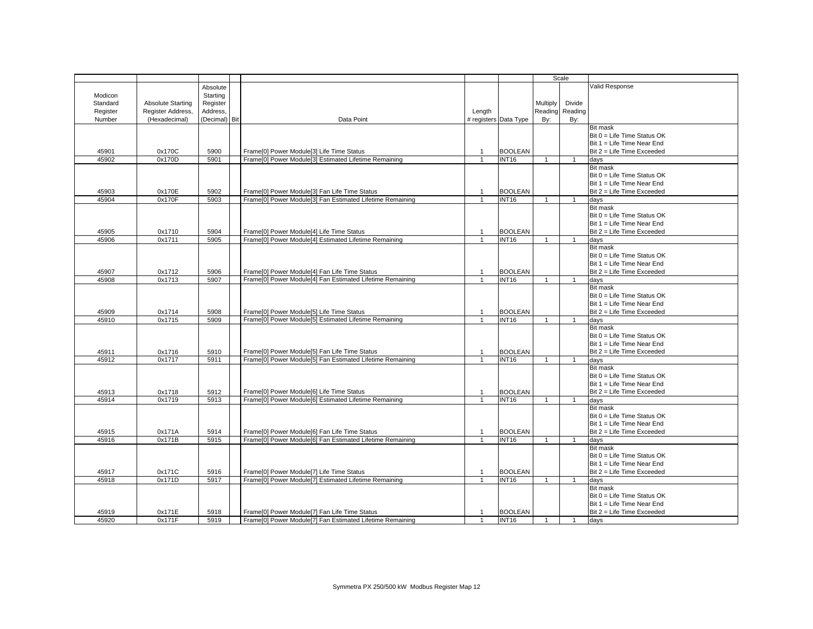|          |                          |               |                                                           |                |                       | Scale          |                 |                              |
|----------|--------------------------|---------------|-----------------------------------------------------------|----------------|-----------------------|----------------|-----------------|------------------------------|
|          |                          | Absolute      |                                                           |                |                       |                |                 | Valid Response               |
| Modicon  |                          | Starting      |                                                           |                |                       |                |                 |                              |
|          |                          |               |                                                           |                |                       |                |                 |                              |
| Standard | <b>Absolute Starting</b> | Register      |                                                           |                |                       | Multiply       | Divide          |                              |
| Register | Register Address,        | Address,      |                                                           | Length         |                       |                | Reading Reading |                              |
| Number   | (Hexadecimal)            | (Decimal) Bit | Data Point                                                |                | # registers Data Type | By:            | By:             |                              |
|          |                          |               |                                                           |                |                       |                |                 | <b>Bit mask</b>              |
|          |                          |               |                                                           |                |                       |                |                 | Bit 0 = Life Time Status OK  |
|          |                          |               |                                                           |                |                       |                |                 | Bit 1 = Life Time Near End   |
| 45901    | 0x170C                   | 5900          | Frame[0] Power Module[3] Life Time Status                 | $\mathbf{1}$   | <b>BOOLEAN</b>        |                |                 | Bit 2 = Life Time Exceeded   |
| 45902    | 0x170D                   | 5901          | Frame[0] Power Module[3] Estimated Lifetime Remaining     |                | <b>INT16</b>          |                | $\mathbf{1}$    | days                         |
|          |                          |               |                                                           |                |                       |                |                 | <b>Bit mask</b>              |
|          |                          |               |                                                           |                |                       |                |                 | Bit 0 = Life Time Status OK  |
|          |                          |               |                                                           |                |                       |                |                 | Bit 1 = Life Time Near End   |
| 45903    | 0x170E                   | 5902          | Frame[0] Power Module[3] Fan Life Time Status             | $\overline{1}$ | <b>BOOLEAN</b>        |                |                 | Bit 2 = Life Time Exceeded   |
| 45904    | 0x170F                   | 5903          | Frame[0] Power Module[3] Fan Estimated Lifetime Remaining | 1              | <b>INT16</b>          | $\overline{1}$ | $\mathbf{1}$    | days                         |
|          |                          |               |                                                           |                |                       |                |                 | <b>Bit mask</b>              |
|          |                          |               |                                                           |                |                       |                |                 | Bit 0 = Life Time Status OK  |
|          |                          |               |                                                           |                |                       |                |                 |                              |
|          |                          |               |                                                           |                |                       |                |                 | Bit 1 = Life Time Near End   |
| 45905    | 0x1710                   | 5904          | Frame[0] Power Module[4] Life Time Status                 | $\mathbf{1}$   | <b>BOOLEAN</b>        |                |                 | Bit 2 = Life Time Exceeded   |
| 45906    | 0x1711                   | 5905          | Frame[0] Power Module[4] Estimated Lifetime Remaining     | $\mathbf{1}$   | <b>INT16</b>          | $\overline{1}$ | $\overline{1}$  | days                         |
|          |                          |               |                                                           |                |                       |                |                 | <b>Bit mask</b>              |
|          |                          |               |                                                           |                |                       |                |                 | Bit 0 = Life Time Status OK  |
|          |                          |               |                                                           |                |                       |                |                 | Bit 1 = Life Time Near End   |
| 45907    | 0x1712                   | 5906          | Frame[0] Power Module[4] Fan Life Time Status             | $\mathbf{1}$   | <b>BOOLEAN</b>        |                |                 | Bit 2 = Life Time Exceeded   |
| 45908    | 0x1713                   | 5907          | Frame[0] Power Module[4] Fan Estimated Lifetime Remaining |                | <b>INT16</b>          | $\overline{1}$ | $\mathbf{1}$    | days                         |
|          |                          |               |                                                           |                |                       |                |                 | <b>Bit mask</b>              |
|          |                          |               |                                                           |                |                       |                |                 | Bit 0 = Life Time Status OK  |
|          |                          |               |                                                           |                |                       |                |                 | Bit 1 = Life Time Near End   |
| 45909    | 0x1714                   | 5908          | Frame[0] Power Module[5] Life Time Status                 | $\mathbf 1$    | <b>BOOLEAN</b>        |                |                 | Bit 2 = Life Time Exceeded   |
| 45910    | 0x1715                   | 5909          | Frame[0] Power Module[5] Estimated Lifetime Remaining     |                | <b>INT16</b>          |                |                 | davs                         |
|          |                          |               |                                                           |                |                       |                |                 |                              |
|          |                          |               |                                                           |                |                       |                |                 | <b>Bit mask</b>              |
|          |                          |               |                                                           |                |                       |                |                 | Bit 0 = Life Time Status OK  |
|          |                          |               |                                                           |                |                       |                |                 | Bit 1 = Life Time Near End   |
| 45911    | 0x1716                   | 5910          | Frame[0] Power Module[5] Fan Life Time Status             | $\overline{1}$ | <b>BOOLEAN</b>        |                |                 | Bit 2 = Life Time Exceeded   |
| 45912    | 0x1717                   | 5911          | Frame[0] Power Module[5] Fan Estimated Lifetime Remaining | $\mathbf{1}$   | <b>INT16</b>          | $\overline{1}$ | $\overline{1}$  | days                         |
|          |                          |               |                                                           |                |                       |                |                 | <b>Bit mask</b>              |
|          |                          |               |                                                           |                |                       |                |                 | Bit 0 = Life Time Status OK  |
|          |                          |               |                                                           |                |                       |                |                 | Bit $1 =$ Life Time Near End |
| 45913    | 0x1718                   | 5912          | Frame[0] Power Module[6] Life Time Status                 | $\mathbf{1}$   | <b>BOOLEAN</b>        |                |                 | Bit 2 = Life Time Exceeded   |
| 45914    | 0x1719                   | 5913          | Frame[0] Power Module[6] Estimated Lifetime Remaining     | $\mathbf{1}$   | <b>INT16</b>          | $\overline{1}$ | $\mathbf{1}$    | days                         |
|          |                          |               |                                                           |                |                       |                |                 | <b>Bit mask</b>              |
|          |                          |               |                                                           |                |                       |                |                 | Bit 0 = Life Time Status OK  |
|          |                          |               |                                                           |                |                       |                |                 | Bit 1 = Life Time Near End   |
| 45915    | 0x171A                   | 5914          | Frame[0] Power Module[6] Fan Life Time Status             | $\mathbf{1}$   | <b>BOOLEAN</b>        |                |                 | Bit 2 = Life Time Exceeded   |
| 45916    | 0x171B                   | 5915          | Frame[0] Power Module[6] Fan Estimated Lifetime Remaining |                | <b>INT16</b>          |                | -1              |                              |
|          |                          |               |                                                           |                |                       |                |                 | days                         |
|          |                          |               |                                                           |                |                       |                |                 | <b>Bit mask</b>              |
|          |                          |               |                                                           |                |                       |                |                 | Bit 0 = Life Time Status OK  |
|          |                          |               |                                                           |                |                       |                |                 | Bit 1 = Life Time Near End   |
| 45917    | 0x171C                   | 5916          | Frame[0] Power Module[7] Life Time Status                 | 1              | <b>BOOLEAN</b>        |                |                 | Bit 2 = Life Time Exceeded   |
| 45918    | 0x171D                   | 5917          | Frame[0] Power Module[7] Estimated Lifetime Remaining     | $\mathbf{1}$   | <b>INT16</b>          | $\overline{1}$ | $\overline{1}$  | days                         |
|          |                          |               |                                                           |                |                       |                |                 | <b>Bit mask</b>              |
|          |                          |               |                                                           |                |                       |                |                 | Bit 0 = Life Time Status OK  |
|          |                          |               |                                                           |                |                       |                |                 | Bit $1 =$ Life Time Near End |
| 45919    | 0x171E                   | 5918          | Frame[0] Power Module[7] Fan Life Time Status             |                | <b>BOOLEAN</b>        |                |                 | Bit 2 = Life Time Exceeded   |
| 45920    | 0x171F                   | 5919          | Frame[0] Power Module[7] Fan Estimated Lifetime Remaining | 1              | <b>INT16</b>          | $\overline{1}$ | $\overline{1}$  | days                         |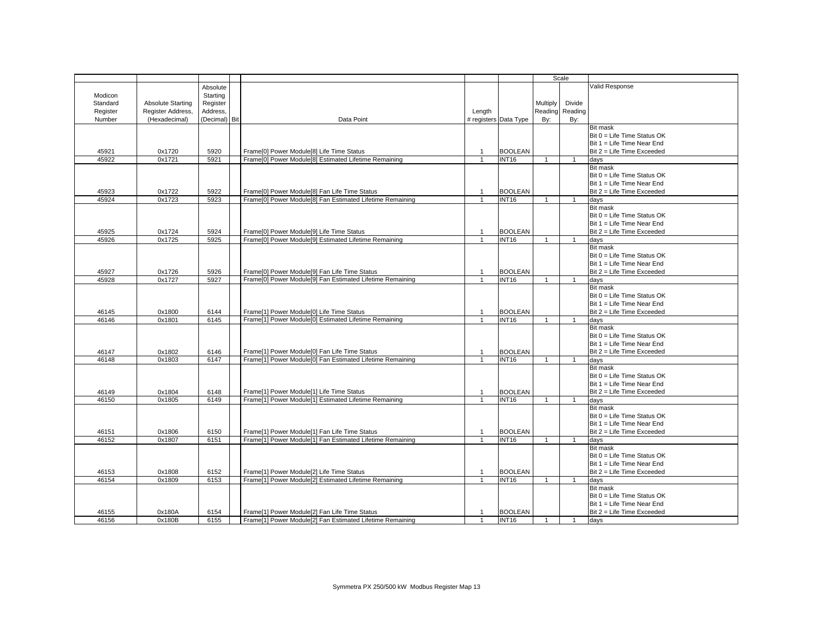|          |                          |               |                                                           |                |                       | Scale          |                 |                              |
|----------|--------------------------|---------------|-----------------------------------------------------------|----------------|-----------------------|----------------|-----------------|------------------------------|
|          |                          | Absolute      |                                                           |                |                       |                |                 | Valid Response               |
| Modicon  |                          | Starting      |                                                           |                |                       |                |                 |                              |
| Standard | <b>Absolute Starting</b> | Register      |                                                           |                |                       | Multiply       | Divide          |                              |
| Register | Register Address,        | Address.      |                                                           | Length         |                       |                | Reading Reading |                              |
| Number   | (Hexadecimal)            | (Decimal) Bit | Data Point                                                |                | # registers Data Type | By:            | By:             |                              |
|          |                          |               |                                                           |                |                       |                |                 | <b>Bit mask</b>              |
|          |                          |               |                                                           |                |                       |                |                 | Bit 0 = Life Time Status OK  |
|          |                          |               |                                                           |                |                       |                |                 | Bit $1 =$ Life Time Near End |
| 45921    | 0x1720                   | 5920          | Frame[0] Power Module[8] Life Time Status                 | $\overline{1}$ | <b>BOOLEAN</b>        |                |                 | Bit 2 = Life Time Exceeded   |
| 45922    | 0x1721                   | 5921          | Frame[0] Power Module[8] Estimated Lifetime Remaining     |                | <b>INT16</b>          | $\mathbf 1$    | $\mathbf{1}$    | days                         |
|          |                          |               |                                                           |                |                       |                |                 | Bit mask                     |
|          |                          |               |                                                           |                |                       |                |                 | Bit 0 = Life Time Status OK  |
|          |                          |               |                                                           |                |                       |                |                 |                              |
|          |                          |               |                                                           |                |                       |                |                 | Bit 1 = Life Time Near End   |
| 45923    | 0x1722                   | 5922          | Frame[0] Power Module[8] Fan Life Time Status             | -1             | <b>BOOLEAN</b>        |                |                 | Bit 2 = Life Time Exceeded   |
| 45924    | 0x1723                   | 5923          | Frame[0] Power Module[8] Fan Estimated Lifetime Remaining |                | <b>INT16</b>          | $\overline{1}$ | $\mathbf{1}$    | days                         |
|          |                          |               |                                                           |                |                       |                |                 | Bit mask                     |
|          |                          |               |                                                           |                |                       |                |                 | Bit 0 = Life Time Status OK  |
|          |                          |               |                                                           |                |                       |                |                 | Bit 1 = Life Time Near End   |
| 45925    | 0x1724                   | 5924          | Frame[0] Power Module[9] Life Time Status                 | $\overline{1}$ | <b>BOOLEAN</b>        |                |                 | Bit 2 = Life Time Exceeded   |
| 45926    | 0x1725                   | 5925          | Frame[0] Power Module[9] Estimated Lifetime Remaining     | $\overline{1}$ | <b>INT16</b>          | $\overline{1}$ | $\overline{1}$  | days                         |
|          |                          |               |                                                           |                |                       |                |                 | <b>Bit mask</b>              |
|          |                          |               |                                                           |                |                       |                |                 | Bit 0 = Life Time Status OK  |
|          |                          |               |                                                           |                |                       |                |                 | Bit 1 = Life Time Near End   |
| 45927    | 0x1726                   | 5926          | Frame[0] Power Module[9] Fan Life Time Status             | $\mathbf{1}$   | <b>BOOLEAN</b>        |                |                 | Bit 2 = Life Time Exceeded   |
| 45928    | 0x1727                   | 5927          | Frame[0] Power Module[9] Fan Estimated Lifetime Remaining |                | <b>INT16</b>          | $\overline{1}$ | $\mathbf{1}$    | days                         |
|          |                          |               |                                                           |                |                       |                |                 | <b>Bit mask</b>              |
|          |                          |               |                                                           |                |                       |                |                 | Bit 0 = Life Time Status OK  |
|          |                          |               |                                                           |                |                       |                |                 | Bit $1 =$ Life Time Near End |
| 46145    | 0x1800                   | 6144          | Frame[1] Power Module[0] Life Time Status                 | $\overline{1}$ | <b>BOOLEAN</b>        |                |                 | Bit 2 = Life Time Exceeded   |
| 46146    | 0x1801                   | 6145          | Frame[1] Power Module[0] Estimated Lifetime Remaining     |                | <b>INT16</b>          |                | 1               | davs                         |
|          |                          |               |                                                           |                |                       |                |                 | <b>Bit mask</b>              |
|          |                          |               |                                                           |                |                       |                |                 | Bit 0 = Life Time Status OK  |
|          |                          |               |                                                           |                |                       |                |                 | Bit 1 = Life Time Near End   |
| 46147    | 0x1802                   | 6146          | Frame[1] Power Module[0] Fan Life Time Status             | $\overline{1}$ | <b>BOOLEAN</b>        |                |                 | Bit 2 = Life Time Exceeded   |
| 46148    | 0x1803                   | 6147          | Frame[1] Power Module[0] Fan Estimated Lifetime Remaining | $\overline{1}$ | <b>INT16</b>          | $\overline{1}$ | $\overline{1}$  | days                         |
|          |                          |               |                                                           |                |                       |                |                 | <b>Bit mask</b>              |
|          |                          |               |                                                           |                |                       |                |                 | Bit 0 = Life Time Status OK  |
|          |                          |               |                                                           |                |                       |                |                 |                              |
|          |                          |               |                                                           |                |                       |                |                 | Bit $1 =$ Life Time Near End |
| 46149    | 0x1804                   | 6148          | Frame[1] Power Module[1] Life Time Status                 |                | <b>BOOLEAN</b>        |                |                 | Bit 2 = Life Time Exceeded   |
| 46150    | 0x1805                   | 6149          | Frame[1] Power Module[1] Estimated Lifetime Remaining     | $\overline{1}$ | <b>INT16</b>          | $\overline{1}$ | $\mathbf{1}$    | days                         |
|          |                          |               |                                                           |                |                       |                |                 | <b>Bit mask</b>              |
|          |                          |               |                                                           |                |                       |                |                 | Bit 0 = Life Time Status OK  |
|          |                          |               |                                                           |                |                       |                |                 | Bit $1 =$ Life Time Near End |
| 46151    | 0x1806                   | 6150          | Frame[1] Power Module[1] Fan Life Time Status             | $\overline{1}$ | <b>BOOLEAN</b>        |                |                 | Bit 2 = Life Time Exceeded   |
| 46152    | 0x1807                   | 6151          | Frame[1] Power Module[1] Fan Estimated Lifetime Remaining |                | <b>INT16</b>          | $\overline{1}$ | $\mathbf{1}$    | days                         |
|          |                          |               |                                                           |                |                       |                |                 | <b>Bit mask</b>              |
|          |                          |               |                                                           |                |                       |                |                 | Bit 0 = Life Time Status OK  |
|          |                          |               |                                                           |                |                       |                |                 | Bit 1 = Life Time Near End   |
| 46153    | 0x1808                   | 6152          | Frame[1] Power Module[2] Life Time Status                 | 1              | <b>BOOLEAN</b>        |                |                 | Bit 2 = Life Time Exceeded   |
| 46154    | 0x1809                   | 6153          | Frame[1] Power Module[2] Estimated Lifetime Remaining     | $\mathbf{1}$   | <b>INT16</b>          | $\overline{1}$ | $\overline{1}$  | days                         |
|          |                          |               |                                                           |                |                       |                |                 | <b>Bit mask</b>              |
|          |                          |               |                                                           |                |                       |                |                 | Bit 0 = Life Time Status OK  |
|          |                          |               |                                                           |                |                       |                |                 | Bit $1 =$ Life Time Near End |
| 46155    | 0x180A                   | 6154          | Frame[1] Power Module[2] Fan Life Time Status             |                | <b>BOOLEAN</b>        |                |                 | Bit 2 = Life Time Exceeded   |
| 46156    | 0x180B                   | 6155          | Frame[1] Power Module[2] Fan Estimated Lifetime Remaining | $\mathbf{1}$   | <b>INT16</b>          | $\overline{1}$ | $\mathbf{1}$    | days                         |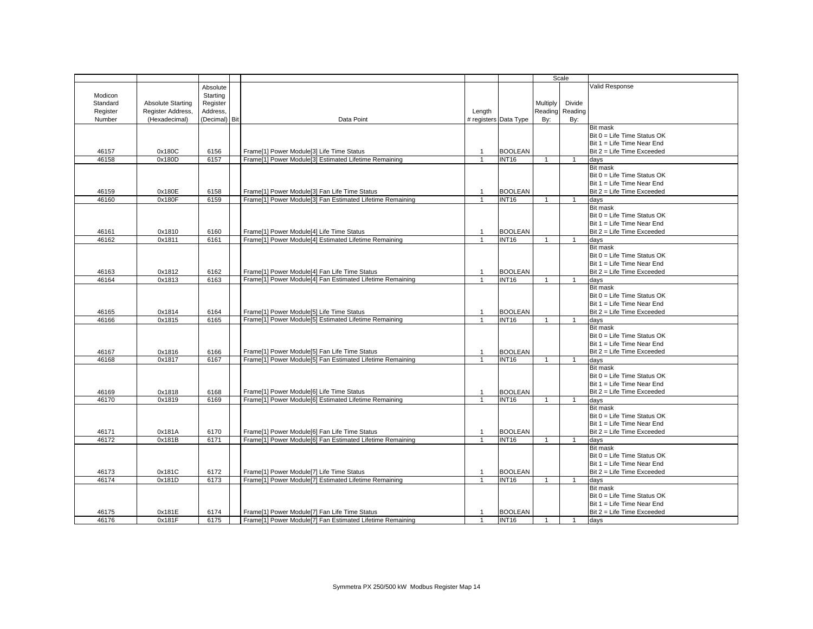|          |                          |           |            |                                                           |                |                       |                | Scale           |                               |
|----------|--------------------------|-----------|------------|-----------------------------------------------------------|----------------|-----------------------|----------------|-----------------|-------------------------------|
|          |                          | Absolute  |            |                                                           |                |                       |                |                 | Valid Response                |
| Modicon  |                          | Starting  |            |                                                           |                |                       |                |                 |                               |
|          |                          |           |            |                                                           |                |                       |                |                 |                               |
| Standard | <b>Absolute Starting</b> | Register  |            |                                                           |                |                       | Multiply       | Divide          |                               |
| Register | Register Address,        | Address,  |            |                                                           | Length         |                       |                | Reading Reading |                               |
| Number   | (Hexadecimal)            | (Decimal) | <b>Bit</b> | Data Point                                                |                | # registers Data Type | By:            | By:             |                               |
|          |                          |           |            |                                                           |                |                       |                |                 | <b>Bit mask</b>               |
|          |                          |           |            |                                                           |                |                       |                |                 | Bit 0 = Life Time Status OK   |
|          |                          |           |            |                                                           |                |                       |                |                 |                               |
|          |                          |           |            |                                                           |                |                       |                |                 | Bit 1 = Life Time Near End    |
| 46157    | 0x180C                   | 6156      |            | Frame[1] Power Module[3] Life Time Status                 | 1              | <b>BOOLEAN</b>        |                |                 | Bit 2 = Life Time Exceeded    |
| 46158    | 0x180D                   | 6157      |            | Frame[1] Power Module[3] Estimated Lifetime Remaining     | 1              | INT16                 | $\overline{1}$ | $\mathbf{1}$    | days                          |
|          |                          |           |            |                                                           |                |                       |                |                 | <b>Bit mask</b>               |
|          |                          |           |            |                                                           |                |                       |                |                 | $Bit 0 = Life Time Status OK$ |
|          |                          |           |            |                                                           |                |                       |                |                 |                               |
|          |                          |           |            |                                                           |                |                       |                |                 | Bit 1 = Life Time Near End    |
| 46159    | 0x180E                   | 6158      |            | Frame[1] Power Module[3] Fan Life Time Status             | 1              | <b>BOOLEAN</b>        |                |                 | Bit 2 = Life Time Exceeded    |
| 46160    | 0x180F                   | 6159      |            | Frame[1] Power Module[3] Fan Estimated Lifetime Remaining | $\mathbf 1$    | INT <sub>16</sub>     | $\overline{1}$ | $\mathbf{1}$    | days                          |
|          |                          |           |            |                                                           |                |                       |                |                 | Bit mask                      |
|          |                          |           |            |                                                           |                |                       |                |                 |                               |
|          |                          |           |            |                                                           |                |                       |                |                 | Bit 0 = Life Time Status OK   |
|          |                          |           |            |                                                           |                |                       |                |                 | Bit 1 = Life Time Near End    |
| 46161    | 0x1810                   | 6160      |            | Frame[1] Power Module[4] Life Time Status                 | 1              | <b>BOOLEAN</b>        |                |                 | Bit 2 = Life Time Exceeded    |
| 46162    | 0x1811                   | 6161      |            | Frame[1] Power Module[4] Estimated Lifetime Remaining     | $\mathbf{1}$   | <b>INT16</b>          | $\overline{1}$ | $\mathbf{1}$    | days                          |
|          |                          |           |            |                                                           |                |                       |                |                 | <b>Bit mask</b>               |
|          |                          |           |            |                                                           |                |                       |                |                 |                               |
|          |                          |           |            |                                                           |                |                       |                |                 | $Bit 0 = Life Time Status OK$ |
|          |                          |           |            |                                                           |                |                       |                |                 | Bit $1 =$ Life Time Near End  |
| 46163    | 0x1812                   | 6162      |            | Frame[1] Power Module[4] Fan Life Time Status             | $\mathbf{1}$   | <b>BOOLEAN</b>        |                |                 | Bit 2 = Life Time Exceeded    |
| 46164    | 0x1813                   | 6163      |            | Frame[1] Power Module[4] Fan Estimated Lifetime Remaining | $\mathbf{1}$   | INT <sub>16</sub>     | $\overline{1}$ | $\mathbf{1}$    |                               |
|          |                          |           |            |                                                           |                |                       |                |                 | days                          |
|          |                          |           |            |                                                           |                |                       |                |                 | Bit mask                      |
|          |                          |           |            |                                                           |                |                       |                |                 | Bit 0 = Life Time Status OK   |
|          |                          |           |            |                                                           |                |                       |                |                 | Bit $1 =$ Life Time Near End  |
| 46165    | 0x1814                   | 6164      |            | Frame[1] Power Module[5] Life Time Status                 | $\mathbf{1}$   | <b>BOOLEAN</b>        |                |                 | Bit 2 = Life Time Exceeded    |
|          |                          |           |            |                                                           |                |                       |                |                 |                               |
| 46166    | 0x1815                   | 6165      |            | Frame[1] Power Module[5] Estimated Lifetime Remaining     | 1              | INT <sub>16</sub>     | $\overline{1}$ | $\overline{1}$  | days                          |
|          |                          |           |            |                                                           |                |                       |                |                 | <b>Bit mask</b>               |
|          |                          |           |            |                                                           |                |                       |                |                 | Bit 0 = Life Time Status OK   |
|          |                          |           |            |                                                           |                |                       |                |                 | Bit 1 = Life Time Near End    |
|          |                          |           |            |                                                           |                |                       |                |                 | Bit 2 = Life Time Exceeded    |
| 46167    | 0x1816                   | 6166      |            | Frame[1] Power Module[5] Fan Life Time Status             | $\overline{1}$ | <b>BOOLEAN</b>        |                |                 |                               |
| 46168    | 0x1817                   | 6167      |            | Frame[1] Power Module[5] Fan Estimated Lifetime Remaining | $\mathbf{1}$   | <b>INT16</b>          | $\overline{1}$ | $\overline{1}$  | days                          |
|          |                          |           |            |                                                           |                |                       |                |                 | <b>Bit mask</b>               |
|          |                          |           |            |                                                           |                |                       |                |                 | $Bit 0 = Life Time Status OK$ |
|          |                          |           |            |                                                           |                |                       |                |                 | Bit $1 =$ Life Time Near End  |
|          |                          |           |            |                                                           |                |                       |                |                 |                               |
| 46169    | 0x1818                   | 6168      |            | Frame[1] Power Module[6] Life Time Status                 | 1              | <b>BOOLEAN</b>        |                |                 | Bit 2 = Life Time Exceeded    |
| 46170    | 0x1819                   | 6169      |            | Frame[1] Power Module[6] Estimated Lifetime Remaining     | $\overline{1}$ | INT <sub>16</sub>     | $\overline{1}$ | $\mathbf{1}$    | days                          |
|          |                          |           |            |                                                           |                |                       |                |                 | <b>Bit mask</b>               |
|          |                          |           |            |                                                           |                |                       |                |                 | Bit 0 = Life Time Status OK   |
|          |                          |           |            |                                                           |                |                       |                |                 |                               |
|          |                          |           |            |                                                           |                |                       |                |                 | Bit 1 = Life Time Near End    |
| 46171    | 0x181A                   | 6170      |            | Frame[1] Power Module[6] Fan Life Time Status             | $\overline{1}$ | <b>BOOLEAN</b>        |                |                 | Bit 2 = Life Time Exceeded    |
| 46172    | 0x181B                   | 6171      |            | Frame[1] Power Module[6] Fan Estimated Lifetime Remaining | 1              | INT <sub>16</sub>     | $\overline{1}$ | $\mathbf{1}$    | days                          |
|          |                          |           |            |                                                           |                |                       |                |                 | <b>Bit mask</b>               |
|          |                          |           |            |                                                           |                |                       |                |                 |                               |
|          |                          |           |            |                                                           |                |                       |                |                 | $Bit 0 = Life Time Status OK$ |
|          |                          |           |            |                                                           |                |                       |                |                 | Bit 1 = Life Time Near End    |
| 46173    | 0x181C                   | 6172      |            | Frame[1] Power Module[7] Life Time Status                 | 1              | <b>BOOLEAN</b>        |                |                 | Bit 2 = Life Time Exceeded    |
| 46174    | 0x181D                   | 6173      |            | Frame[1] Power Module[7] Estimated Lifetime Remaining     | $\mathbf{1}$   | INT <sub>16</sub>     | $\overline{1}$ | $\mathbf{1}$    | days                          |
|          |                          |           |            |                                                           |                |                       |                |                 | <b>Bit mask</b>               |
|          |                          |           |            |                                                           |                |                       |                |                 |                               |
|          |                          |           |            |                                                           |                |                       |                |                 | Bit 0 = Life Time Status OK   |
|          |                          |           |            |                                                           |                |                       |                |                 | Bit $1 =$ Life Time Near End  |
| 46175    | 0x181E                   | 6174      |            | Frame[1] Power Module[7] Fan Life Time Status             |                | <b>BOOLEAN</b>        |                |                 | Bit 2 = Life Time Exceeded    |
| 46176    | 0x181F                   | 6175      |            | Frame[1] Power Module[7] Fan Estimated Lifetime Remaining | 1              | <b>INT16</b>          | $\overline{1}$ | $\overline{1}$  | days                          |
|          |                          |           |            |                                                           |                |                       |                |                 |                               |